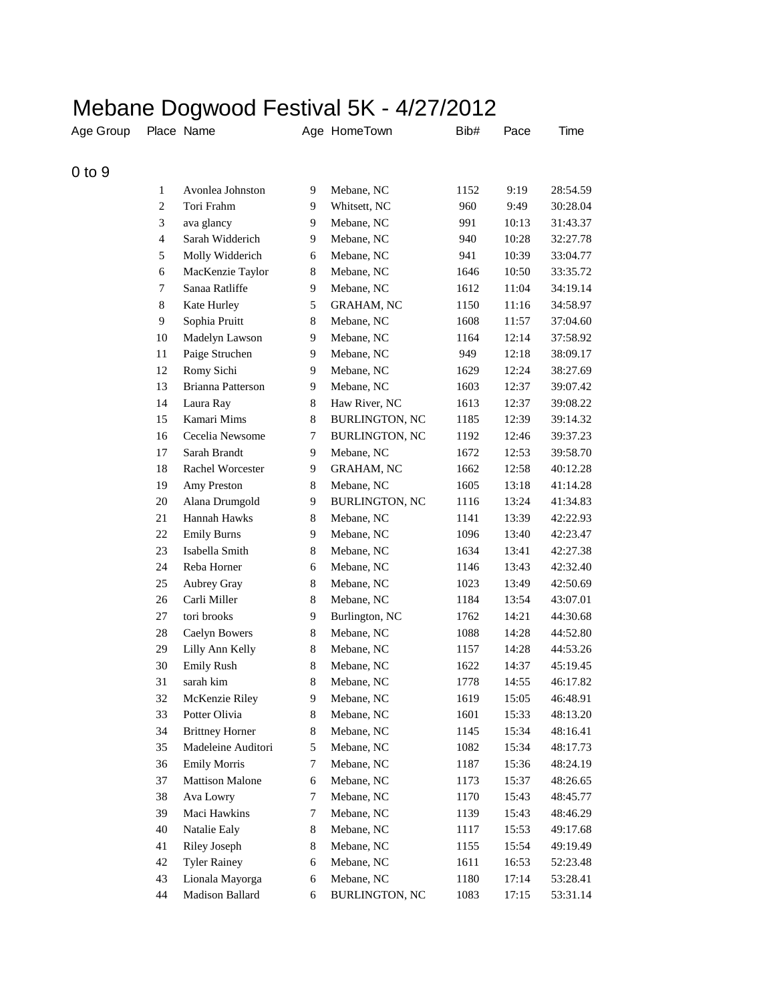## Mebane Dogwood Festival 5K - 4/27/2012

| Age Group  |                          | Place Name               |                | Age HomeTown      | Bib# | Pace  | Time     |
|------------|--------------------------|--------------------------|----------------|-------------------|------|-------|----------|
| $0$ to $9$ |                          |                          |                |                   |      |       |          |
|            | 1                        | Avonlea Johnston         | 9              | Mebane, NC        | 1152 | 9:19  | 28:54.59 |
|            | $\boldsymbol{2}$         | Tori Frahm               | 9              | Whitsett, NC      | 960  | 9:49  | 30:28.04 |
|            | 3                        | ava glancy               | 9              | Mebane, NC        | 991  | 10:13 | 31:43.37 |
|            | $\overline{\mathcal{L}}$ | Sarah Widderich          | 9              | Mebane, NC        | 940  | 10:28 | 32:27.78 |
|            | 5                        | Molly Widderich          | 6              | Mebane, NC        | 941  | 10:39 | 33:04.77 |
|            | 6                        | MacKenzie Taylor         | 8              | Mebane, NC        | 1646 | 10:50 | 33:35.72 |
|            | 7                        | Sanaa Ratliffe           | 9              | Mebane, NC        | 1612 | 11:04 | 34:19.14 |
|            | $\,8\,$                  | Kate Hurley              | 5              | <b>GRAHAM, NC</b> | 1150 | 11:16 | 34:58.97 |
|            | $\boldsymbol{9}$         | Sophia Pruitt            | 8              | Mebane, NC        | 1608 | 11:57 | 37:04.60 |
|            | 10                       | Madelyn Lawson           | 9              | Mebane, NC        | 1164 | 12:14 | 37:58.92 |
|            | 11                       | Paige Struchen           | 9              | Mebane, NC        | 949  | 12:18 | 38:09.17 |
|            | 12                       | Romy Sichi               | 9              | Mebane, NC        | 1629 | 12:24 | 38:27.69 |
|            | 13                       | <b>Brianna Patterson</b> | 9              | Mebane, NC        | 1603 | 12:37 | 39:07.42 |
|            | 14                       | Laura Ray                | 8              | Haw River, NC     | 1613 | 12:37 | 39:08.22 |
|            | 15                       | Kamari Mims              | $\,8\,$        | BURLINGTON, NC    | 1185 | 12:39 | 39:14.32 |
|            | 16                       | Cecelia Newsome          | 7              | BURLINGTON, NC    | 1192 | 12:46 | 39:37.23 |
|            | 17                       | Sarah Brandt             | 9              | Mebane, NC        | 1672 | 12:53 | 39:58.70 |
|            | 18                       | Rachel Worcester         | 9              | <b>GRAHAM, NC</b> | 1662 | 12:58 | 40:12.28 |
|            | 19                       | Amy Preston              | $\,8$          | Mebane, NC        | 1605 | 13:18 | 41:14.28 |
|            | 20                       | Alana Drumgold           | 9              | BURLINGTON, NC    | 1116 | 13:24 | 41:34.83 |
|            | 21                       | Hannah Hawks             | 8              | Mebane, NC        | 1141 | 13:39 | 42:22.93 |
|            | 22                       | <b>Emily Burns</b>       | 9              | Mebane, NC        | 1096 | 13:40 | 42:23.47 |
|            | 23                       | Isabella Smith           | 8              | Mebane, NC        | 1634 | 13:41 | 42:27.38 |
|            | 24                       | Reba Horner              | 6              | Mebane, NC        | 1146 | 13:43 | 42:32.40 |
|            | 25                       | Aubrey Gray              | $\,8$          | Mebane, NC        | 1023 | 13:49 | 42:50.69 |
|            | 26                       | Carli Miller             | 8              | Mebane, NC        | 1184 | 13:54 | 43:07.01 |
|            | 27                       | tori brooks              | 9              | Burlington, NC    | 1762 | 14:21 | 44:30.68 |
|            | 28                       | Caelyn Bowers            | $\,8$          | Mebane, NC        | 1088 | 14:28 | 44:52.80 |
|            | 29                       | Lilly Ann Kelly          | $\,8$          | Mebane, NC        | 1157 | 14:28 | 44:53.26 |
|            | 30                       | <b>Emily Rush</b>        | 8              | Mebane, NC        | 1622 | 14:37 | 45:19.45 |
|            | 31                       | sarah kim                | 8              | Mebane, NC        | 1778 | 14:55 | 46:17.82 |
|            | 32                       | McKenzie Riley           | 9              | Mebane, NC        | 1619 | 15:05 | 46:48.91 |
|            | 33                       | Potter Olivia            | 8              | Mebane, NC        | 1601 | 15:33 | 48:13.20 |
|            | 34                       | <b>Brittney Horner</b>   | 8              | Mebane, NC        | 1145 | 15:34 | 48:16.41 |
|            | 35                       | Madeleine Auditori       | 5              | Mebane, NC        | 1082 | 15:34 | 48:17.73 |
|            | 36                       | <b>Emily Morris</b>      | $\overline{7}$ | Mebane, NC        | 1187 | 15:36 | 48:24.19 |
|            | 37                       | <b>Mattison Malone</b>   | 6              | Mebane, NC        | 1173 | 15:37 | 48:26.65 |
|            | 38                       | Ava Lowry                | 7              | Mebane, NC        | 1170 | 15:43 | 48:45.77 |
|            | 39                       | Maci Hawkins             | 7              | Mebane, NC        | 1139 | 15:43 | 48:46.29 |
|            | 40                       | Natalie Ealy             | $\,8\,$        | Mebane, NC        | 1117 | 15:53 | 49:17.68 |
|            | 41                       | Riley Joseph             | $\,8\,$        | Mebane, NC        | 1155 | 15:54 | 49:19.49 |
|            | 42                       | <b>Tyler Rainey</b>      | 6              | Mebane, NC        | 1611 | 16:53 | 52:23.48 |
|            | 43                       | Lionala Mayorga          | 6              | Mebane, NC        | 1180 | 17:14 | 53:28.41 |
|            | 44                       | Madison Ballard          | 6              | BURLINGTON, NC    | 1083 | 17:15 | 53:31.14 |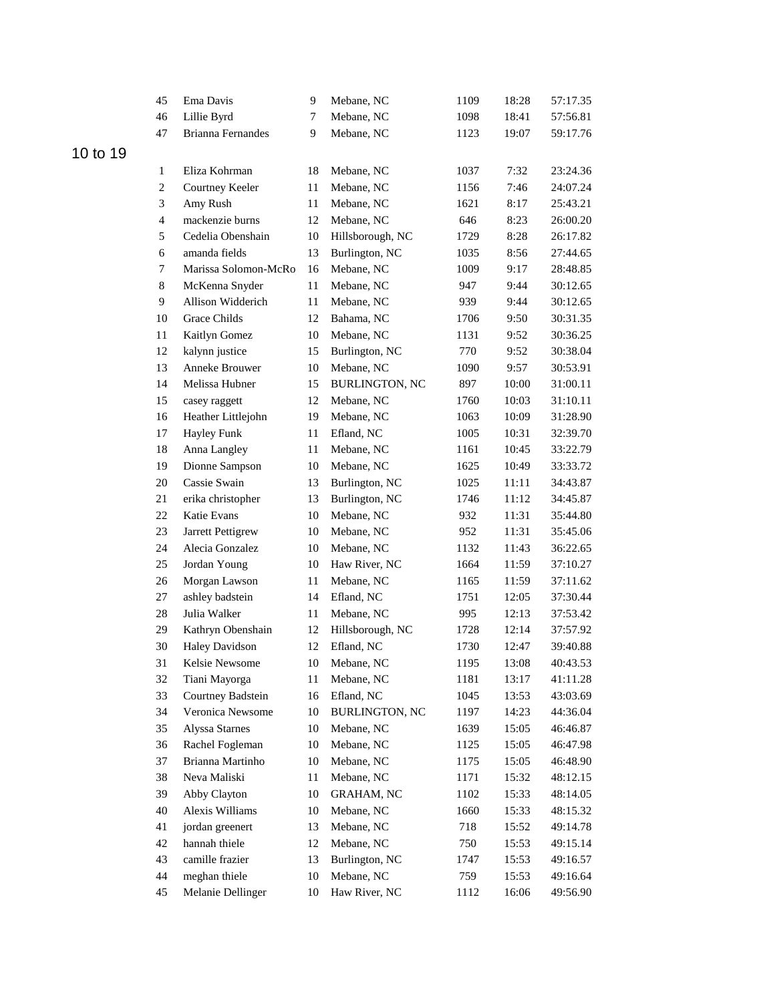|          | 45                      | Ema Davis                | 9  | Mebane, NC            | 1109 | 18:28 | 57:17.35 |
|----------|-------------------------|--------------------------|----|-----------------------|------|-------|----------|
|          | 46                      | Lillie Byrd              | 7  | Mebane, NC            | 1098 | 18:41 | 57:56.81 |
|          | 47                      | <b>Brianna Fernandes</b> | 9  | Mebane, NC            | 1123 | 19:07 | 59:17.76 |
| 10 to 19 |                         |                          |    |                       |      |       |          |
|          | 1                       | Eliza Kohrman            | 18 | Mebane, NC            | 1037 | 7:32  | 23:24.36 |
|          | $\overline{c}$          | Courtney Keeler          | 11 | Mebane, NC            | 1156 | 7:46  | 24:07.24 |
|          | 3                       | Amy Rush                 | 11 | Mebane, NC            | 1621 | 8:17  | 25:43.21 |
|          | $\overline{\mathbf{4}}$ | mackenzie burns          | 12 | Mebane, NC            | 646  | 8:23  | 26:00.20 |
|          | 5                       | Cedelia Obenshain        | 10 | Hillsborough, NC      | 1729 | 8:28  | 26:17.82 |
|          | 6                       | amanda fields            | 13 | Burlington, NC        | 1035 | 8:56  | 27:44.65 |
|          | 7                       | Marissa Solomon-McRo     | 16 | Mebane, NC            | 1009 | 9:17  | 28:48.85 |
|          | $\,8\,$                 | McKenna Snyder           | 11 | Mebane, NC            | 947  | 9:44  | 30:12.65 |
|          | $\overline{9}$          | Allison Widderich        | 11 | Mebane, NC            | 939  | 9:44  | 30:12.65 |
|          | 10                      | Grace Childs             | 12 | Bahama, NC            | 1706 | 9:50  | 30:31.35 |
|          | 11                      | Kaitlyn Gomez            | 10 | Mebane, NC            | 1131 | 9:52  | 30:36.25 |
|          | 12                      | kalynn justice           | 15 | Burlington, NC        | 770  | 9:52  | 30:38.04 |
|          | 13                      | Anneke Brouwer           | 10 | Mebane, NC            | 1090 | 9:57  | 30:53.91 |
|          | 14                      | Melissa Hubner           | 15 | <b>BURLINGTON, NC</b> | 897  | 10:00 | 31:00.11 |
|          | 15                      | casey raggett            | 12 | Mebane, NC            | 1760 | 10:03 | 31:10.11 |
|          | 16                      | Heather Littlejohn       | 19 | Mebane, NC            | 1063 | 10:09 | 31:28.90 |
|          | 17                      | <b>Hayley Funk</b>       | 11 | Efland, NC            | 1005 | 10:31 | 32:39.70 |
|          | $18\,$                  | Anna Langley             | 11 | Mebane, NC            | 1161 | 10:45 | 33:22.79 |
|          | 19                      | Dionne Sampson           | 10 | Mebane, NC            | 1625 | 10:49 | 33:33.72 |
|          | 20                      | Cassie Swain             | 13 | Burlington, NC        | 1025 | 11:11 | 34:43.87 |
|          | 21                      | erika christopher        | 13 | Burlington, NC        | 1746 | 11:12 | 34:45.87 |
|          | $22\,$                  | Katie Evans              | 10 | Mebane, NC            | 932  | 11:31 | 35:44.80 |
|          | 23                      | Jarrett Pettigrew        | 10 | Mebane, NC            | 952  | 11:31 | 35:45.06 |
|          | 24                      | Alecia Gonzalez          | 10 | Mebane, NC            | 1132 | 11:43 | 36:22.65 |
|          | 25                      | Jordan Young             | 10 | Haw River, NC         | 1664 | 11:59 | 37:10.27 |
|          | 26                      | Morgan Lawson            | 11 | Mebane, NC            | 1165 | 11:59 | 37:11.62 |
|          | 27                      | ashley badstein          | 14 | Efland, NC            | 1751 | 12:05 | 37:30.44 |
|          | 28                      | Julia Walker             | 11 | Mebane, NC            | 995  | 12:13 | 37:53.42 |
|          | 29                      | Kathryn Obenshain        | 12 | Hillsborough, NC      | 1728 | 12:14 | 37:57.92 |
|          | 30                      | <b>Haley Davidson</b>    | 12 | Efland, NC            | 1730 | 12:47 | 39:40.88 |
|          | 31                      | Kelsie Newsome           | 10 | Mebane, NC            | 1195 | 13:08 | 40:43.53 |
|          | 32                      | Tiani Mayorga            | 11 | Mebane, NC            | 1181 | 13:17 | 41:11.28 |
|          | 33                      | Courtney Badstein        | 16 | Efland, NC            | 1045 | 13:53 | 43:03.69 |
|          | 34                      | Veronica Newsome         | 10 | <b>BURLINGTON, NC</b> | 1197 | 14:23 | 44:36.04 |
|          | 35                      | Alyssa Starnes           | 10 | Mebane, NC            | 1639 | 15:05 | 46:46.87 |
|          | 36                      | Rachel Fogleman          | 10 | Mebane, NC            | 1125 | 15:05 | 46:47.98 |
|          | 37                      | Brianna Martinho         | 10 | Mebane, NC            | 1175 | 15:05 | 46:48.90 |
|          | 38                      | Neva Maliski             | 11 | Mebane, NC            | 1171 | 15:32 | 48:12.15 |
|          | 39                      | Abby Clayton             | 10 | <b>GRAHAM, NC</b>     | 1102 | 15:33 | 48:14.05 |
|          | 40                      | Alexis Williams          | 10 | Mebane, NC            | 1660 | 15:33 | 48:15.32 |
|          | 41                      | jordan greenert          | 13 | Mebane, NC            | 718  | 15:52 | 49:14.78 |
|          | 42                      | hannah thiele            | 12 | Mebane, NC            | 750  | 15:53 | 49:15.14 |
|          | 43                      | camille frazier          | 13 | Burlington, NC        | 1747 | 15:53 | 49:16.57 |
|          | 44                      | meghan thiele            | 10 | Mebane, NC            | 759  | 15:53 | 49:16.64 |
|          | 45                      | Melanie Dellinger        | 10 | Haw River, NC         | 1112 | 16:06 | 49:56.90 |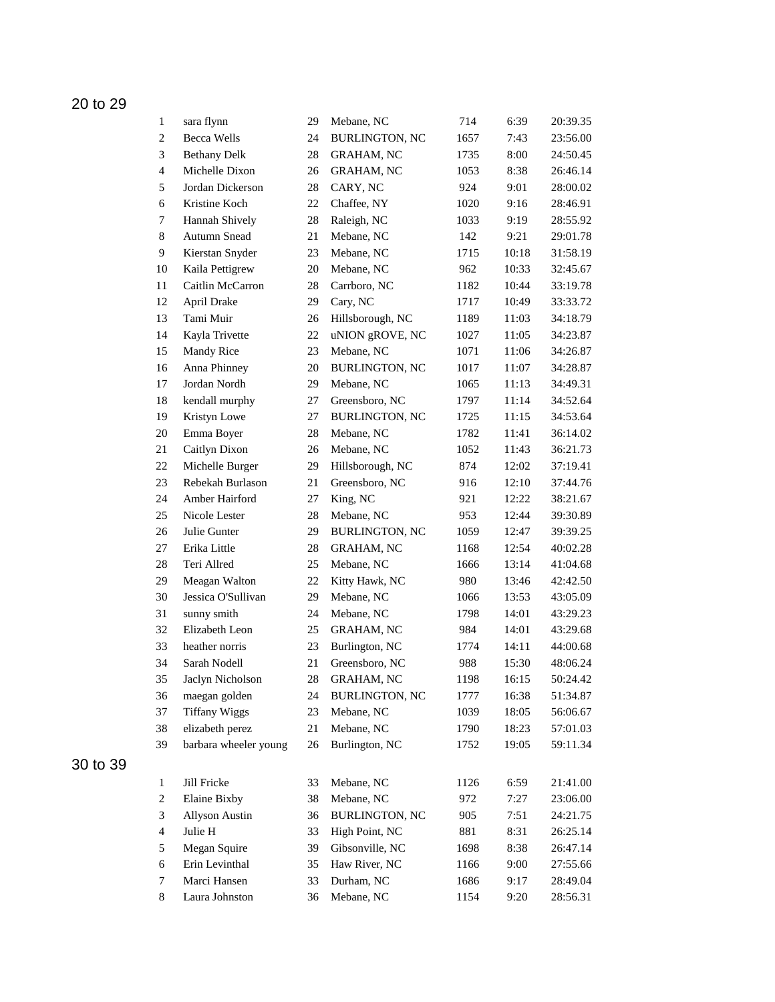| $\mathbf{1}$             | sara flynn            | 29     | Mebane, NC            | 714  | 6:39  | 20:39.35 |
|--------------------------|-----------------------|--------|-----------------------|------|-------|----------|
| $\overline{c}$           | <b>Becca Wells</b>    | 24     | <b>BURLINGTON, NC</b> | 1657 | 7:43  | 23:56.00 |
| 3                        | <b>Bethany Delk</b>   | 28     | <b>GRAHAM, NC</b>     | 1735 | 8:00  | 24:50.45 |
| $\overline{4}$           | Michelle Dixon        | 26     | <b>GRAHAM, NC</b>     | 1053 | 8:38  | 26:46.14 |
| 5                        | Jordan Dickerson      | 28     | CARY, NC              | 924  | 9:01  | 28:00.02 |
| 6                        | Kristine Koch         | 22     | Chaffee, NY           | 1020 | 9:16  | 28:46.91 |
| 7                        | Hannah Shively        | 28     | Raleigh, NC           | 1033 | 9:19  | 28:55.92 |
| $\,8\,$                  | Autumn Snead          | 21     | Mebane, NC            | 142  | 9:21  | 29:01.78 |
| 9                        | Kierstan Snyder       | 23     | Mebane, NC            | 1715 | 10:18 | 31:58.19 |
| 10                       | Kaila Pettigrew       | 20     | Mebane, NC            | 962  | 10:33 | 32:45.67 |
| 11                       | Caitlin McCarron      | 28     | Carrboro, NC          | 1182 | 10:44 | 33:19.78 |
| 12                       | April Drake           | 29     | Cary, NC              | 1717 | 10:49 | 33:33.72 |
| 13                       | Tami Muir             | 26     | Hillsborough, NC      | 1189 | 11:03 | 34:18.79 |
| 14                       | Kayla Trivette        | 22     | uNION gROVE, NC       | 1027 | 11:05 | 34:23.87 |
| 15                       | Mandy Rice            | 23     | Mebane, NC            | 1071 | 11:06 | 34:26.87 |
| 16                       | Anna Phinney          | 20     | <b>BURLINGTON, NC</b> | 1017 | 11:07 | 34:28.87 |
| 17                       | Jordan Nordh          | 29     | Mebane, NC            | 1065 | 11:13 | 34:49.31 |
| 18                       | kendall murphy        | 27     | Greensboro, NC        | 1797 | 11:14 | 34:52.64 |
| 19                       | Kristyn Lowe          | 27     | <b>BURLINGTON, NC</b> | 1725 | 11:15 | 34:53.64 |
| $20\,$                   | Emma Boyer            | 28     | Mebane, NC            | 1782 | 11:41 | 36:14.02 |
| 21                       | Caitlyn Dixon         | 26     | Mebane, NC            | 1052 | 11:43 | 36:21.73 |
| $22\,$                   | Michelle Burger       | 29     | Hillsborough, NC      | 874  | 12:02 | 37:19.41 |
| 23                       | Rebekah Burlason      | 21     | Greensboro, NC        | 916  | 12:10 | 37:44.76 |
| 24                       | Amber Hairford        | 27     | King, NC              | 921  | 12:22 | 38:21.67 |
| 25                       | Nicole Lester         | 28     | Mebane, NC            | 953  | 12:44 | 39:30.89 |
| 26                       | Julie Gunter          | 29     | <b>BURLINGTON, NC</b> | 1059 | 12:47 | 39:39.25 |
| 27                       | Erika Little          | 28     | GRAHAM, NC            | 1168 | 12:54 | 40:02.28 |
| 28                       | Teri Allred           | 25     | Mebane, NC            | 1666 | 13:14 | 41:04.68 |
| 29                       | Meagan Walton         | 22     | Kitty Hawk, NC        | 980  | 13:46 | 42:42.50 |
| 30                       | Jessica O'Sullivan    | 29     | Mebane, NC            | 1066 | 13:53 | 43:05.09 |
| 31                       | sunny smith           | 24     | Mebane, NC            | 1798 | 14:01 | 43:29.23 |
| 32                       | Elizabeth Leon        | 25     | GRAHAM, NC            | 984  | 14:01 | 43:29.68 |
| 33                       | heather norris        | 23     | Burlington, NC        | 1774 | 14:11 | 44:00.68 |
| 34                       | Sarah Nodell          | 21     | Greensboro, NC        | 988  | 15:30 | 48:06.24 |
| 35                       | Jaclyn Nicholson      | 28     | <b>GRAHAM, NC</b>     | 1198 | 16:15 | 50:24.42 |
| 36                       | maegan golden         | 24     | <b>BURLINGTON, NC</b> | 1777 | 16:38 | 51:34.87 |
| 37                       | <b>Tiffany Wiggs</b>  | 23     | Mebane, NC            | 1039 | 18:05 | 56:06.67 |
| 38                       | elizabeth perez       | $21\,$ | Mebane, NC            | 1790 | 18:23 | 57:01.03 |
| 39                       | barbara wheeler young | 26     | Burlington, NC        | 1752 | 19:05 | 59:11.34 |
|                          |                       |        |                       |      |       |          |
| $\mathbf{1}$             | Jill Fricke           | 33     | Mebane, NC            | 1126 | 6:59  | 21:41.00 |
| $\boldsymbol{2}$         | Elaine Bixby          | 38     | Mebane, NC            | 972  | 7:27  | 23:06.00 |
| $\mathfrak{Z}$           | <b>Allyson Austin</b> | 36     | <b>BURLINGTON, NC</b> | 905  | 7:51  | 24:21.75 |
| $\overline{\mathcal{A}}$ | Julie H               | 33     | High Point, NC        | 881  | 8:31  | 26:25.14 |
| 5                        | Megan Squire          | 39     | Gibsonville, NC       | 1698 | 8:38  | 26:47.14 |
| 6                        | Erin Levinthal        | 35     | Haw River, NC         | 1166 | 9:00  | 27:55.66 |
| $\boldsymbol{7}$         | Marci Hansen          | 33     | Durham, NC            | 1686 | 9:17  | 28:49.04 |
| 8                        | Laura Johnston        | 36     | Mebane, NC            | 1154 | 9:20  | 28:56.31 |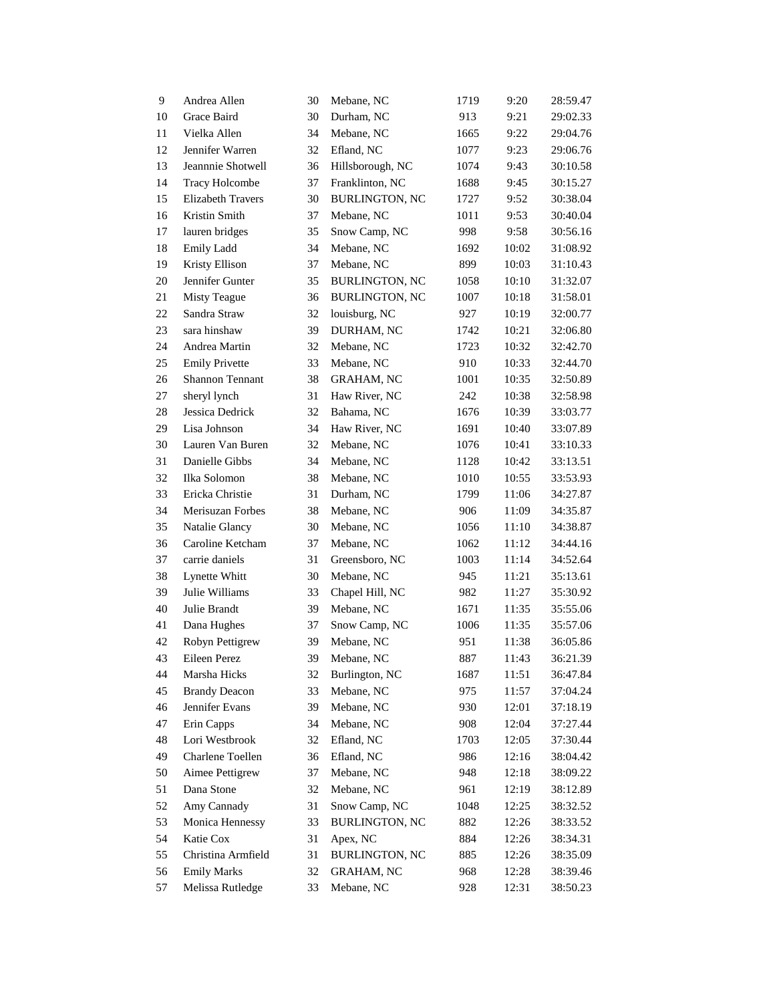| 9  | Andrea Allen             | 30 | Mebane, NC            | 1719 | 9:20  | 28:59.47 |
|----|--------------------------|----|-----------------------|------|-------|----------|
| 10 | Grace Baird              | 30 | Durham, NC            | 913  | 9:21  | 29:02.33 |
| 11 | Vielka Allen             | 34 | Mebane, NC            | 1665 | 9:22  | 29:04.76 |
| 12 | Jennifer Warren          | 32 | Efland, NC            | 1077 | 9:23  | 29:06.76 |
| 13 | Jeannnie Shotwell        | 36 | Hillsborough, NC      | 1074 | 9:43  | 30:10.58 |
| 14 | <b>Tracy Holcombe</b>    | 37 | Franklinton, NC       | 1688 | 9:45  | 30:15.27 |
| 15 | <b>Elizabeth Travers</b> | 30 | <b>BURLINGTON, NC</b> | 1727 | 9:52  | 30:38.04 |
| 16 | Kristin Smith            | 37 | Mebane, NC            | 1011 | 9:53  | 30:40.04 |
| 17 | lauren bridges           | 35 | Snow Camp, NC         | 998  | 9:58  | 30:56.16 |
| 18 | Emily Ladd               | 34 | Mebane, NC            | 1692 | 10:02 | 31:08.92 |
| 19 | Kristy Ellison           | 37 | Mebane, NC            | 899  | 10:03 | 31:10.43 |
| 20 | Jennifer Gunter          | 35 | <b>BURLINGTON, NC</b> | 1058 | 10:10 | 31:32.07 |
| 21 | <b>Misty Teague</b>      | 36 | <b>BURLINGTON, NC</b> | 1007 | 10:18 | 31:58.01 |
| 22 | Sandra Straw             | 32 | louisburg, NC         | 927  | 10:19 | 32:00.77 |
| 23 | sara hinshaw             | 39 | DURHAM, NC            | 1742 | 10:21 | 32:06.80 |
| 24 | Andrea Martin            | 32 | Mebane, NC            | 1723 | 10:32 | 32:42.70 |
| 25 | <b>Emily Privette</b>    | 33 | Mebane, NC            | 910  | 10:33 | 32:44.70 |
| 26 | Shannon Tennant          | 38 | <b>GRAHAM, NC</b>     | 1001 | 10:35 | 32:50.89 |
| 27 | sheryl lynch             | 31 | Haw River, NC         | 242  | 10:38 | 32:58.98 |
| 28 | Jessica Dedrick          | 32 | Bahama, NC            | 1676 | 10:39 | 33:03.77 |
| 29 | Lisa Johnson             | 34 | Haw River, NC         | 1691 | 10:40 | 33:07.89 |
| 30 | Lauren Van Buren         | 32 | Mebane, NC            | 1076 | 10:41 | 33:10.33 |
| 31 | Danielle Gibbs           | 34 | Mebane, NC            | 1128 | 10:42 | 33:13.51 |
| 32 | Ilka Solomon             | 38 | Mebane, NC            | 1010 | 10:55 | 33:53.93 |
| 33 | Ericka Christie          | 31 | Durham, NC            | 1799 | 11:06 | 34:27.87 |
| 34 | Merisuzan Forbes         | 38 | Mebane, NC            | 906  | 11:09 | 34:35.87 |
| 35 | Natalie Glancy           | 30 | Mebane, NC            | 1056 | 11:10 | 34:38.87 |
| 36 | Caroline Ketcham         | 37 | Mebane, NC            | 1062 | 11:12 | 34:44.16 |
| 37 | carrie daniels           | 31 | Greensboro, NC        | 1003 | 11:14 | 34:52.64 |
| 38 | Lynette Whitt            | 30 | Mebane, NC            | 945  | 11:21 | 35:13.61 |
| 39 | Julie Williams           | 33 | Chapel Hill, NC       | 982  | 11:27 | 35:30.92 |
| 40 | Julie Brandt             | 39 | Mebane, NC            | 1671 | 11:35 | 35:55.06 |
| 41 | Dana Hughes              | 37 | Snow Camp, NC         | 1006 | 11:35 | 35:57.06 |
| 42 | Robyn Pettigrew          | 39 | Mebane, NC            | 951  | 11:38 | 36:05.86 |
| 43 | Eileen Perez             | 39 | Mebane, NC            | 887  | 11:43 | 36:21.39 |
| 44 | Marsha Hicks             | 32 | Burlington, NC        | 1687 | 11:51 | 36:47.84 |
| 45 | <b>Brandy Deacon</b>     | 33 | Mebane, NC            | 975  | 11:57 | 37:04.24 |
| 46 | Jennifer Evans           | 39 | Mebane, NC            | 930  | 12:01 | 37:18.19 |
| 47 | Erin Capps               | 34 | Mebane, NC            | 908  | 12:04 | 37:27.44 |
| 48 | Lori Westbrook           | 32 | Efland, NC            | 1703 | 12:05 | 37:30.44 |
| 49 | Charlene Toellen         | 36 | Efland, NC            | 986  | 12:16 | 38:04.42 |
| 50 | Aimee Pettigrew          | 37 | Mebane, NC            | 948  | 12:18 | 38:09.22 |
| 51 | Dana Stone               | 32 | Mebane, NC            | 961  | 12:19 | 38:12.89 |
| 52 | Amy Cannady              | 31 | Snow Camp, NC         | 1048 | 12:25 | 38:32.52 |
| 53 | Monica Hennessy          | 33 | <b>BURLINGTON, NC</b> | 882  | 12:26 | 38:33.52 |
| 54 | Katie Cox                | 31 | Apex, NC              | 884  | 12:26 | 38:34.31 |
| 55 | Christina Armfield       | 31 | <b>BURLINGTON, NC</b> | 885  | 12:26 | 38:35.09 |
| 56 | <b>Emily Marks</b>       | 32 | <b>GRAHAM, NC</b>     | 968  | 12:28 | 38:39.46 |
| 57 | Melissa Rutledge         | 33 | Mebane, NC            | 928  | 12:31 | 38:50.23 |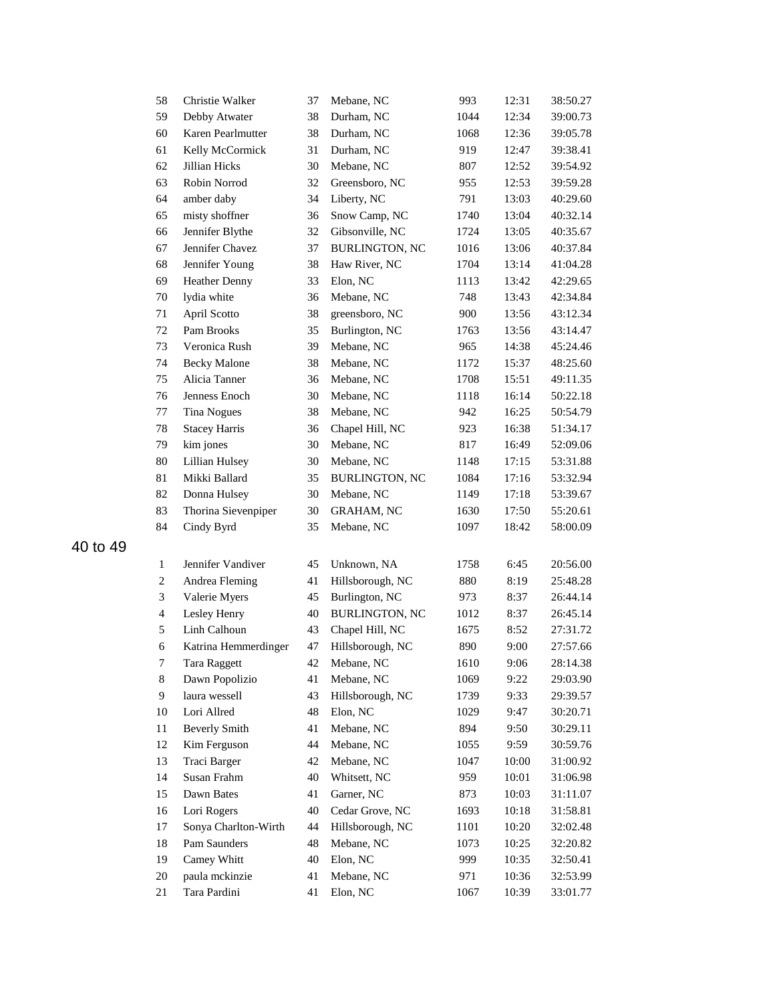| 59<br>Debby Atwater<br>38<br>Durham, NC<br>1044<br>Karen Pearlmutter<br>60<br>38<br>Durham, NC<br>1068<br>Kelly McCormick<br>61<br>31<br>Durham, NC<br>919<br>30<br>62<br><b>Jillian Hicks</b><br>Mebane, NC<br>807<br>Robin Norrod<br>63<br>32<br>Greensboro, NC<br>955<br>34<br>64<br>amber daby<br>Liberty, NC<br>791<br>65<br>misty shoffner<br>36<br>Snow Camp, NC<br>1740<br>66<br>Jennifer Blythe<br>32<br>Gibsonville, NC<br>1724<br>Jennifer Chavez<br>67<br>37<br><b>BURLINGTON, NC</b><br>1016<br>68<br>Jennifer Young<br>38<br>Haw River, NC<br>1704<br>69<br><b>Heather Denny</b><br>33<br>Elon, NC<br>1113<br>lydia white<br>36<br>70<br>Mebane, NC<br>748<br>71<br>April Scotto<br>38<br>greensboro, NC<br>900<br>Pam Brooks<br>72<br>35<br>Burlington, NC<br>1763<br>Veronica Rush<br>Mebane, NC<br>73<br>39<br>965<br>74<br><b>Becky Malone</b><br>38<br>Mebane, NC<br>1172<br>75<br>Alicia Tanner<br>36<br>Mebane, NC<br>1708<br>76<br>Jenness Enoch<br>30<br>Mebane, NC<br>1118<br>77<br><b>Tina Nogues</b><br>38<br>Mebane, NC<br>942<br>78<br><b>Stacey Harris</b><br>36<br>Chapel Hill, NC<br>923<br>79<br>kim jones<br>30<br>Mebane, NC<br>817<br>$80\,$<br>Lillian Hulsey<br>30<br>Mebane, NC<br>1148<br>Mikki Ballard<br>81<br>35<br><b>BURLINGTON, NC</b><br>1084<br>30<br>82<br>Donna Hulsey<br>Mebane, NC<br>1149<br>Thorina Sievenpiper<br>83<br>30<br>GRAHAM, NC<br>1630<br>84<br>Cindy Byrd<br>35<br>Mebane, NC<br>1097<br>$\mathbf{1}$<br>Jennifer Vandiver<br>45<br>Unknown, NA<br>1758<br>$\boldsymbol{2}$<br>Andrea Fleming<br>41<br>Hillsborough, NC<br>880<br>3<br>Valerie Myers<br>45<br>Burlington, NC<br>973<br>$\overline{\mathbf{4}}$<br>Lesley Henry<br>40<br><b>BURLINGTON, NC</b><br>1012<br>Linh Calhoun<br>5<br>43<br>Chapel Hill, NC<br>1675<br>Hillsborough, NC<br>6<br>Katrina Hemmerdinger<br>47<br>890<br>$\boldsymbol{7}$<br>42<br>1610<br>Tara Raggett<br>Mebane, NC<br>8<br>Dawn Popolizio<br>41<br>Mebane, NC<br>1069<br>9<br>laura wessell<br>43<br>Hillsborough, NC<br>1739<br>Lori Allred<br>48<br>Elon, NC<br>10<br>1029<br>11<br><b>Beverly Smith</b><br>41<br>Mebane, NC<br>894<br>12<br>Kim Ferguson<br>44<br>Mebane, NC<br>1055<br>13<br>Traci Barger<br>42<br>Mebane, NC<br>1047<br>Susan Frahm<br>14<br>40<br>Whitsett, NC<br>959<br>15<br>Dawn Bates<br>41<br>Garner, NC<br>873<br>16<br>Lori Rogers<br>40<br>Cedar Grove, NC<br>1693<br>Sonya Charlton-Wirth<br>17<br>44<br>Hillsborough, NC<br>1101<br>Pam Saunders<br>18<br>48<br>Mebane, NC<br>1073<br>19<br>Camey Whitt<br>40<br>Elon, NC<br>999<br>paula mckinzie<br>$20\,$<br>41<br>Mebane, NC<br>971<br>Tara Pardini<br>Elon, NC<br>21<br>41<br>1067 | 58 | Christie Walker | 37 | Mebane, NC | 993 | 12:31 | 38:50.27 |
|---------------------------------------------------------------------------------------------------------------------------------------------------------------------------------------------------------------------------------------------------------------------------------------------------------------------------------------------------------------------------------------------------------------------------------------------------------------------------------------------------------------------------------------------------------------------------------------------------------------------------------------------------------------------------------------------------------------------------------------------------------------------------------------------------------------------------------------------------------------------------------------------------------------------------------------------------------------------------------------------------------------------------------------------------------------------------------------------------------------------------------------------------------------------------------------------------------------------------------------------------------------------------------------------------------------------------------------------------------------------------------------------------------------------------------------------------------------------------------------------------------------------------------------------------------------------------------------------------------------------------------------------------------------------------------------------------------------------------------------------------------------------------------------------------------------------------------------------------------------------------------------------------------------------------------------------------------------------------------------------------------------------------------------------------------------------------------------------------------------------------------------------------------------------------------------------------------------------------------------------------------------------------------------------------------------------------------------------------------------------------------------------------------------------------------------------------------------------------------------------------------------------------------------------------------------------------------------------------------------------------------------------------------------------------------|----|-----------------|----|------------|-----|-------|----------|
|                                                                                                                                                                                                                                                                                                                                                                                                                                                                                                                                                                                                                                                                                                                                                                                                                                                                                                                                                                                                                                                                                                                                                                                                                                                                                                                                                                                                                                                                                                                                                                                                                                                                                                                                                                                                                                                                                                                                                                                                                                                                                                                                                                                                                                                                                                                                                                                                                                                                                                                                                                                                                                                                                 |    |                 |    |            |     | 12:34 | 39:00.73 |
|                                                                                                                                                                                                                                                                                                                                                                                                                                                                                                                                                                                                                                                                                                                                                                                                                                                                                                                                                                                                                                                                                                                                                                                                                                                                                                                                                                                                                                                                                                                                                                                                                                                                                                                                                                                                                                                                                                                                                                                                                                                                                                                                                                                                                                                                                                                                                                                                                                                                                                                                                                                                                                                                                 |    |                 |    |            |     | 12:36 | 39:05.78 |
|                                                                                                                                                                                                                                                                                                                                                                                                                                                                                                                                                                                                                                                                                                                                                                                                                                                                                                                                                                                                                                                                                                                                                                                                                                                                                                                                                                                                                                                                                                                                                                                                                                                                                                                                                                                                                                                                                                                                                                                                                                                                                                                                                                                                                                                                                                                                                                                                                                                                                                                                                                                                                                                                                 |    |                 |    |            |     | 12:47 | 39:38.41 |
|                                                                                                                                                                                                                                                                                                                                                                                                                                                                                                                                                                                                                                                                                                                                                                                                                                                                                                                                                                                                                                                                                                                                                                                                                                                                                                                                                                                                                                                                                                                                                                                                                                                                                                                                                                                                                                                                                                                                                                                                                                                                                                                                                                                                                                                                                                                                                                                                                                                                                                                                                                                                                                                                                 |    |                 |    |            |     | 12:52 | 39:54.92 |
|                                                                                                                                                                                                                                                                                                                                                                                                                                                                                                                                                                                                                                                                                                                                                                                                                                                                                                                                                                                                                                                                                                                                                                                                                                                                                                                                                                                                                                                                                                                                                                                                                                                                                                                                                                                                                                                                                                                                                                                                                                                                                                                                                                                                                                                                                                                                                                                                                                                                                                                                                                                                                                                                                 |    |                 |    |            |     | 12:53 | 39:59.28 |
|                                                                                                                                                                                                                                                                                                                                                                                                                                                                                                                                                                                                                                                                                                                                                                                                                                                                                                                                                                                                                                                                                                                                                                                                                                                                                                                                                                                                                                                                                                                                                                                                                                                                                                                                                                                                                                                                                                                                                                                                                                                                                                                                                                                                                                                                                                                                                                                                                                                                                                                                                                                                                                                                                 |    |                 |    |            |     | 13:03 | 40:29.60 |
|                                                                                                                                                                                                                                                                                                                                                                                                                                                                                                                                                                                                                                                                                                                                                                                                                                                                                                                                                                                                                                                                                                                                                                                                                                                                                                                                                                                                                                                                                                                                                                                                                                                                                                                                                                                                                                                                                                                                                                                                                                                                                                                                                                                                                                                                                                                                                                                                                                                                                                                                                                                                                                                                                 |    |                 |    |            |     | 13:04 | 40:32.14 |
|                                                                                                                                                                                                                                                                                                                                                                                                                                                                                                                                                                                                                                                                                                                                                                                                                                                                                                                                                                                                                                                                                                                                                                                                                                                                                                                                                                                                                                                                                                                                                                                                                                                                                                                                                                                                                                                                                                                                                                                                                                                                                                                                                                                                                                                                                                                                                                                                                                                                                                                                                                                                                                                                                 |    |                 |    |            |     | 13:05 | 40:35.67 |
|                                                                                                                                                                                                                                                                                                                                                                                                                                                                                                                                                                                                                                                                                                                                                                                                                                                                                                                                                                                                                                                                                                                                                                                                                                                                                                                                                                                                                                                                                                                                                                                                                                                                                                                                                                                                                                                                                                                                                                                                                                                                                                                                                                                                                                                                                                                                                                                                                                                                                                                                                                                                                                                                                 |    |                 |    |            |     | 13:06 | 40:37.84 |
|                                                                                                                                                                                                                                                                                                                                                                                                                                                                                                                                                                                                                                                                                                                                                                                                                                                                                                                                                                                                                                                                                                                                                                                                                                                                                                                                                                                                                                                                                                                                                                                                                                                                                                                                                                                                                                                                                                                                                                                                                                                                                                                                                                                                                                                                                                                                                                                                                                                                                                                                                                                                                                                                                 |    |                 |    |            |     | 13:14 | 41:04.28 |
|                                                                                                                                                                                                                                                                                                                                                                                                                                                                                                                                                                                                                                                                                                                                                                                                                                                                                                                                                                                                                                                                                                                                                                                                                                                                                                                                                                                                                                                                                                                                                                                                                                                                                                                                                                                                                                                                                                                                                                                                                                                                                                                                                                                                                                                                                                                                                                                                                                                                                                                                                                                                                                                                                 |    |                 |    |            |     | 13:42 | 42:29.65 |
|                                                                                                                                                                                                                                                                                                                                                                                                                                                                                                                                                                                                                                                                                                                                                                                                                                                                                                                                                                                                                                                                                                                                                                                                                                                                                                                                                                                                                                                                                                                                                                                                                                                                                                                                                                                                                                                                                                                                                                                                                                                                                                                                                                                                                                                                                                                                                                                                                                                                                                                                                                                                                                                                                 |    |                 |    |            |     | 13:43 | 42:34.84 |
|                                                                                                                                                                                                                                                                                                                                                                                                                                                                                                                                                                                                                                                                                                                                                                                                                                                                                                                                                                                                                                                                                                                                                                                                                                                                                                                                                                                                                                                                                                                                                                                                                                                                                                                                                                                                                                                                                                                                                                                                                                                                                                                                                                                                                                                                                                                                                                                                                                                                                                                                                                                                                                                                                 |    |                 |    |            |     | 13:56 | 43:12.34 |
|                                                                                                                                                                                                                                                                                                                                                                                                                                                                                                                                                                                                                                                                                                                                                                                                                                                                                                                                                                                                                                                                                                                                                                                                                                                                                                                                                                                                                                                                                                                                                                                                                                                                                                                                                                                                                                                                                                                                                                                                                                                                                                                                                                                                                                                                                                                                                                                                                                                                                                                                                                                                                                                                                 |    |                 |    |            |     | 13:56 | 43:14.47 |
|                                                                                                                                                                                                                                                                                                                                                                                                                                                                                                                                                                                                                                                                                                                                                                                                                                                                                                                                                                                                                                                                                                                                                                                                                                                                                                                                                                                                                                                                                                                                                                                                                                                                                                                                                                                                                                                                                                                                                                                                                                                                                                                                                                                                                                                                                                                                                                                                                                                                                                                                                                                                                                                                                 |    |                 |    |            |     | 14:38 | 45:24.46 |
|                                                                                                                                                                                                                                                                                                                                                                                                                                                                                                                                                                                                                                                                                                                                                                                                                                                                                                                                                                                                                                                                                                                                                                                                                                                                                                                                                                                                                                                                                                                                                                                                                                                                                                                                                                                                                                                                                                                                                                                                                                                                                                                                                                                                                                                                                                                                                                                                                                                                                                                                                                                                                                                                                 |    |                 |    |            |     | 15:37 | 48:25.60 |
|                                                                                                                                                                                                                                                                                                                                                                                                                                                                                                                                                                                                                                                                                                                                                                                                                                                                                                                                                                                                                                                                                                                                                                                                                                                                                                                                                                                                                                                                                                                                                                                                                                                                                                                                                                                                                                                                                                                                                                                                                                                                                                                                                                                                                                                                                                                                                                                                                                                                                                                                                                                                                                                                                 |    |                 |    |            |     | 15:51 | 49:11.35 |
|                                                                                                                                                                                                                                                                                                                                                                                                                                                                                                                                                                                                                                                                                                                                                                                                                                                                                                                                                                                                                                                                                                                                                                                                                                                                                                                                                                                                                                                                                                                                                                                                                                                                                                                                                                                                                                                                                                                                                                                                                                                                                                                                                                                                                                                                                                                                                                                                                                                                                                                                                                                                                                                                                 |    |                 |    |            |     | 16:14 | 50:22.18 |
|                                                                                                                                                                                                                                                                                                                                                                                                                                                                                                                                                                                                                                                                                                                                                                                                                                                                                                                                                                                                                                                                                                                                                                                                                                                                                                                                                                                                                                                                                                                                                                                                                                                                                                                                                                                                                                                                                                                                                                                                                                                                                                                                                                                                                                                                                                                                                                                                                                                                                                                                                                                                                                                                                 |    |                 |    |            |     | 16:25 | 50:54.79 |
|                                                                                                                                                                                                                                                                                                                                                                                                                                                                                                                                                                                                                                                                                                                                                                                                                                                                                                                                                                                                                                                                                                                                                                                                                                                                                                                                                                                                                                                                                                                                                                                                                                                                                                                                                                                                                                                                                                                                                                                                                                                                                                                                                                                                                                                                                                                                                                                                                                                                                                                                                                                                                                                                                 |    |                 |    |            |     | 16:38 | 51:34.17 |
|                                                                                                                                                                                                                                                                                                                                                                                                                                                                                                                                                                                                                                                                                                                                                                                                                                                                                                                                                                                                                                                                                                                                                                                                                                                                                                                                                                                                                                                                                                                                                                                                                                                                                                                                                                                                                                                                                                                                                                                                                                                                                                                                                                                                                                                                                                                                                                                                                                                                                                                                                                                                                                                                                 |    |                 |    |            |     | 16:49 | 52:09.06 |
|                                                                                                                                                                                                                                                                                                                                                                                                                                                                                                                                                                                                                                                                                                                                                                                                                                                                                                                                                                                                                                                                                                                                                                                                                                                                                                                                                                                                                                                                                                                                                                                                                                                                                                                                                                                                                                                                                                                                                                                                                                                                                                                                                                                                                                                                                                                                                                                                                                                                                                                                                                                                                                                                                 |    |                 |    |            |     | 17:15 | 53:31.88 |
|                                                                                                                                                                                                                                                                                                                                                                                                                                                                                                                                                                                                                                                                                                                                                                                                                                                                                                                                                                                                                                                                                                                                                                                                                                                                                                                                                                                                                                                                                                                                                                                                                                                                                                                                                                                                                                                                                                                                                                                                                                                                                                                                                                                                                                                                                                                                                                                                                                                                                                                                                                                                                                                                                 |    |                 |    |            |     | 17:16 | 53:32.94 |
|                                                                                                                                                                                                                                                                                                                                                                                                                                                                                                                                                                                                                                                                                                                                                                                                                                                                                                                                                                                                                                                                                                                                                                                                                                                                                                                                                                                                                                                                                                                                                                                                                                                                                                                                                                                                                                                                                                                                                                                                                                                                                                                                                                                                                                                                                                                                                                                                                                                                                                                                                                                                                                                                                 |    |                 |    |            |     | 17:18 | 53:39.67 |
|                                                                                                                                                                                                                                                                                                                                                                                                                                                                                                                                                                                                                                                                                                                                                                                                                                                                                                                                                                                                                                                                                                                                                                                                                                                                                                                                                                                                                                                                                                                                                                                                                                                                                                                                                                                                                                                                                                                                                                                                                                                                                                                                                                                                                                                                                                                                                                                                                                                                                                                                                                                                                                                                                 |    |                 |    |            |     | 17:50 | 55:20.61 |
|                                                                                                                                                                                                                                                                                                                                                                                                                                                                                                                                                                                                                                                                                                                                                                                                                                                                                                                                                                                                                                                                                                                                                                                                                                                                                                                                                                                                                                                                                                                                                                                                                                                                                                                                                                                                                                                                                                                                                                                                                                                                                                                                                                                                                                                                                                                                                                                                                                                                                                                                                                                                                                                                                 |    |                 |    |            |     | 18:42 | 58:00.09 |
|                                                                                                                                                                                                                                                                                                                                                                                                                                                                                                                                                                                                                                                                                                                                                                                                                                                                                                                                                                                                                                                                                                                                                                                                                                                                                                                                                                                                                                                                                                                                                                                                                                                                                                                                                                                                                                                                                                                                                                                                                                                                                                                                                                                                                                                                                                                                                                                                                                                                                                                                                                                                                                                                                 |    |                 |    |            |     |       |          |
|                                                                                                                                                                                                                                                                                                                                                                                                                                                                                                                                                                                                                                                                                                                                                                                                                                                                                                                                                                                                                                                                                                                                                                                                                                                                                                                                                                                                                                                                                                                                                                                                                                                                                                                                                                                                                                                                                                                                                                                                                                                                                                                                                                                                                                                                                                                                                                                                                                                                                                                                                                                                                                                                                 |    |                 |    |            |     | 6:45  | 20:56.00 |
|                                                                                                                                                                                                                                                                                                                                                                                                                                                                                                                                                                                                                                                                                                                                                                                                                                                                                                                                                                                                                                                                                                                                                                                                                                                                                                                                                                                                                                                                                                                                                                                                                                                                                                                                                                                                                                                                                                                                                                                                                                                                                                                                                                                                                                                                                                                                                                                                                                                                                                                                                                                                                                                                                 |    |                 |    |            |     | 8:19  | 25:48.28 |
|                                                                                                                                                                                                                                                                                                                                                                                                                                                                                                                                                                                                                                                                                                                                                                                                                                                                                                                                                                                                                                                                                                                                                                                                                                                                                                                                                                                                                                                                                                                                                                                                                                                                                                                                                                                                                                                                                                                                                                                                                                                                                                                                                                                                                                                                                                                                                                                                                                                                                                                                                                                                                                                                                 |    |                 |    |            |     | 8:37  | 26:44.14 |
|                                                                                                                                                                                                                                                                                                                                                                                                                                                                                                                                                                                                                                                                                                                                                                                                                                                                                                                                                                                                                                                                                                                                                                                                                                                                                                                                                                                                                                                                                                                                                                                                                                                                                                                                                                                                                                                                                                                                                                                                                                                                                                                                                                                                                                                                                                                                                                                                                                                                                                                                                                                                                                                                                 |    |                 |    |            |     | 8:37  | 26:45.14 |
|                                                                                                                                                                                                                                                                                                                                                                                                                                                                                                                                                                                                                                                                                                                                                                                                                                                                                                                                                                                                                                                                                                                                                                                                                                                                                                                                                                                                                                                                                                                                                                                                                                                                                                                                                                                                                                                                                                                                                                                                                                                                                                                                                                                                                                                                                                                                                                                                                                                                                                                                                                                                                                                                                 |    |                 |    |            |     | 8:52  | 27:31.72 |
|                                                                                                                                                                                                                                                                                                                                                                                                                                                                                                                                                                                                                                                                                                                                                                                                                                                                                                                                                                                                                                                                                                                                                                                                                                                                                                                                                                                                                                                                                                                                                                                                                                                                                                                                                                                                                                                                                                                                                                                                                                                                                                                                                                                                                                                                                                                                                                                                                                                                                                                                                                                                                                                                                 |    |                 |    |            |     | 9:00  | 27:57.66 |
|                                                                                                                                                                                                                                                                                                                                                                                                                                                                                                                                                                                                                                                                                                                                                                                                                                                                                                                                                                                                                                                                                                                                                                                                                                                                                                                                                                                                                                                                                                                                                                                                                                                                                                                                                                                                                                                                                                                                                                                                                                                                                                                                                                                                                                                                                                                                                                                                                                                                                                                                                                                                                                                                                 |    |                 |    |            |     | 9:06  | 28:14.38 |
|                                                                                                                                                                                                                                                                                                                                                                                                                                                                                                                                                                                                                                                                                                                                                                                                                                                                                                                                                                                                                                                                                                                                                                                                                                                                                                                                                                                                                                                                                                                                                                                                                                                                                                                                                                                                                                                                                                                                                                                                                                                                                                                                                                                                                                                                                                                                                                                                                                                                                                                                                                                                                                                                                 |    |                 |    |            |     | 9:22  | 29:03.90 |
|                                                                                                                                                                                                                                                                                                                                                                                                                                                                                                                                                                                                                                                                                                                                                                                                                                                                                                                                                                                                                                                                                                                                                                                                                                                                                                                                                                                                                                                                                                                                                                                                                                                                                                                                                                                                                                                                                                                                                                                                                                                                                                                                                                                                                                                                                                                                                                                                                                                                                                                                                                                                                                                                                 |    |                 |    |            |     | 9:33  | 29:39.57 |
|                                                                                                                                                                                                                                                                                                                                                                                                                                                                                                                                                                                                                                                                                                                                                                                                                                                                                                                                                                                                                                                                                                                                                                                                                                                                                                                                                                                                                                                                                                                                                                                                                                                                                                                                                                                                                                                                                                                                                                                                                                                                                                                                                                                                                                                                                                                                                                                                                                                                                                                                                                                                                                                                                 |    |                 |    |            |     | 9:47  | 30:20.71 |
|                                                                                                                                                                                                                                                                                                                                                                                                                                                                                                                                                                                                                                                                                                                                                                                                                                                                                                                                                                                                                                                                                                                                                                                                                                                                                                                                                                                                                                                                                                                                                                                                                                                                                                                                                                                                                                                                                                                                                                                                                                                                                                                                                                                                                                                                                                                                                                                                                                                                                                                                                                                                                                                                                 |    |                 |    |            |     | 9:50  | 30:29.11 |
|                                                                                                                                                                                                                                                                                                                                                                                                                                                                                                                                                                                                                                                                                                                                                                                                                                                                                                                                                                                                                                                                                                                                                                                                                                                                                                                                                                                                                                                                                                                                                                                                                                                                                                                                                                                                                                                                                                                                                                                                                                                                                                                                                                                                                                                                                                                                                                                                                                                                                                                                                                                                                                                                                 |    |                 |    |            |     | 9:59  | 30:59.76 |
|                                                                                                                                                                                                                                                                                                                                                                                                                                                                                                                                                                                                                                                                                                                                                                                                                                                                                                                                                                                                                                                                                                                                                                                                                                                                                                                                                                                                                                                                                                                                                                                                                                                                                                                                                                                                                                                                                                                                                                                                                                                                                                                                                                                                                                                                                                                                                                                                                                                                                                                                                                                                                                                                                 |    |                 |    |            |     | 10:00 | 31:00.92 |
|                                                                                                                                                                                                                                                                                                                                                                                                                                                                                                                                                                                                                                                                                                                                                                                                                                                                                                                                                                                                                                                                                                                                                                                                                                                                                                                                                                                                                                                                                                                                                                                                                                                                                                                                                                                                                                                                                                                                                                                                                                                                                                                                                                                                                                                                                                                                                                                                                                                                                                                                                                                                                                                                                 |    |                 |    |            |     | 10:01 | 31:06.98 |
|                                                                                                                                                                                                                                                                                                                                                                                                                                                                                                                                                                                                                                                                                                                                                                                                                                                                                                                                                                                                                                                                                                                                                                                                                                                                                                                                                                                                                                                                                                                                                                                                                                                                                                                                                                                                                                                                                                                                                                                                                                                                                                                                                                                                                                                                                                                                                                                                                                                                                                                                                                                                                                                                                 |    |                 |    |            |     | 10:03 | 31:11.07 |
|                                                                                                                                                                                                                                                                                                                                                                                                                                                                                                                                                                                                                                                                                                                                                                                                                                                                                                                                                                                                                                                                                                                                                                                                                                                                                                                                                                                                                                                                                                                                                                                                                                                                                                                                                                                                                                                                                                                                                                                                                                                                                                                                                                                                                                                                                                                                                                                                                                                                                                                                                                                                                                                                                 |    |                 |    |            |     | 10:18 | 31:58.81 |
|                                                                                                                                                                                                                                                                                                                                                                                                                                                                                                                                                                                                                                                                                                                                                                                                                                                                                                                                                                                                                                                                                                                                                                                                                                                                                                                                                                                                                                                                                                                                                                                                                                                                                                                                                                                                                                                                                                                                                                                                                                                                                                                                                                                                                                                                                                                                                                                                                                                                                                                                                                                                                                                                                 |    |                 |    |            |     | 10:20 | 32:02.48 |
|                                                                                                                                                                                                                                                                                                                                                                                                                                                                                                                                                                                                                                                                                                                                                                                                                                                                                                                                                                                                                                                                                                                                                                                                                                                                                                                                                                                                                                                                                                                                                                                                                                                                                                                                                                                                                                                                                                                                                                                                                                                                                                                                                                                                                                                                                                                                                                                                                                                                                                                                                                                                                                                                                 |    |                 |    |            |     | 10:25 | 32:20.82 |
|                                                                                                                                                                                                                                                                                                                                                                                                                                                                                                                                                                                                                                                                                                                                                                                                                                                                                                                                                                                                                                                                                                                                                                                                                                                                                                                                                                                                                                                                                                                                                                                                                                                                                                                                                                                                                                                                                                                                                                                                                                                                                                                                                                                                                                                                                                                                                                                                                                                                                                                                                                                                                                                                                 |    |                 |    |            |     | 10:35 | 32:50.41 |
|                                                                                                                                                                                                                                                                                                                                                                                                                                                                                                                                                                                                                                                                                                                                                                                                                                                                                                                                                                                                                                                                                                                                                                                                                                                                                                                                                                                                                                                                                                                                                                                                                                                                                                                                                                                                                                                                                                                                                                                                                                                                                                                                                                                                                                                                                                                                                                                                                                                                                                                                                                                                                                                                                 |    |                 |    |            |     | 10:36 | 32:53.99 |
|                                                                                                                                                                                                                                                                                                                                                                                                                                                                                                                                                                                                                                                                                                                                                                                                                                                                                                                                                                                                                                                                                                                                                                                                                                                                                                                                                                                                                                                                                                                                                                                                                                                                                                                                                                                                                                                                                                                                                                                                                                                                                                                                                                                                                                                                                                                                                                                                                                                                                                                                                                                                                                                                                 |    |                 |    |            |     | 10:39 | 33:01.77 |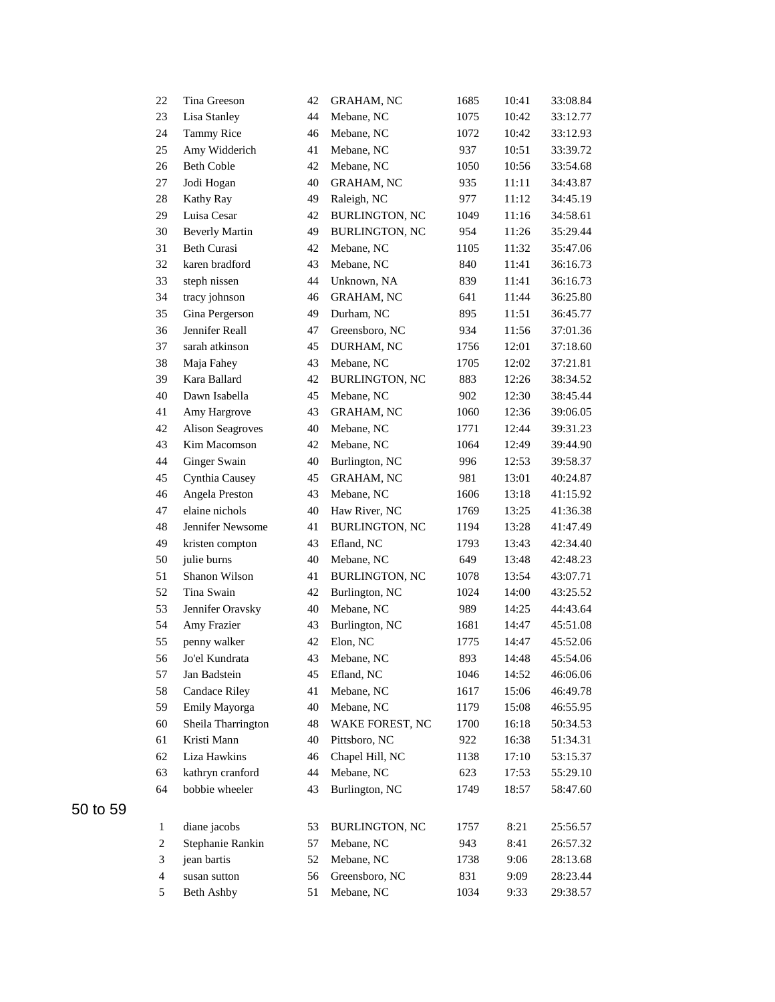| 22                      | Tina Greeson            | 42 | <b>GRAHAM, NC</b>     | 1685 | 10:41 | 33:08.84 |
|-------------------------|-------------------------|----|-----------------------|------|-------|----------|
| 23                      | Lisa Stanley            | 44 | Mebane, NC            | 1075 | 10:42 | 33:12.77 |
| 24                      | <b>Tammy Rice</b>       | 46 | Mebane, NC            | 1072 | 10:42 | 33:12.93 |
| 25                      | Amy Widderich           | 41 | Mebane, NC            | 937  | 10:51 | 33:39.72 |
| 26                      | <b>Beth Coble</b>       | 42 | Mebane, NC            | 1050 | 10:56 | 33:54.68 |
| 27                      | Jodi Hogan              | 40 | <b>GRAHAM, NC</b>     | 935  | 11:11 | 34:43.87 |
| 28                      | Kathy Ray               | 49 | Raleigh, NC           | 977  | 11:12 | 34:45.19 |
| 29                      | Luisa Cesar             | 42 | <b>BURLINGTON, NC</b> | 1049 | 11:16 | 34:58.61 |
| 30                      | <b>Beverly Martin</b>   | 49 | <b>BURLINGTON, NC</b> | 954  | 11:26 | 35:29.44 |
| 31                      | <b>Beth Curasi</b>      | 42 | Mebane, NC            | 1105 | 11:32 | 35:47.06 |
| 32                      | karen bradford          | 43 | Mebane, NC            | 840  | 11:41 | 36:16.73 |
| 33                      | steph nissen            | 44 | Unknown, NA           | 839  | 11:41 | 36:16.73 |
| 34                      | tracy johnson           | 46 | <b>GRAHAM, NC</b>     | 641  | 11:44 | 36:25.80 |
| 35                      | Gina Pergerson          | 49 | Durham, NC            | 895  | 11:51 | 36:45.77 |
| 36                      | Jennifer Reall          | 47 | Greensboro, NC        | 934  | 11:56 | 37:01.36 |
| 37                      | sarah atkinson          | 45 | DURHAM, NC            | 1756 | 12:01 | 37:18.60 |
| 38                      | Maja Fahey              | 43 | Mebane, NC            | 1705 | 12:02 | 37:21.81 |
| 39                      | Kara Ballard            | 42 | <b>BURLINGTON, NC</b> | 883  | 12:26 | 38:34.52 |
| 40                      | Dawn Isabella           | 45 | Mebane, NC            | 902  | 12:30 | 38:45.44 |
| 41                      | Amy Hargrove            | 43 | <b>GRAHAM, NC</b>     | 1060 | 12:36 | 39:06.05 |
| 42                      | <b>Alison Seagroves</b> | 40 | Mebane, NC            | 1771 | 12:44 | 39:31.23 |
| 43                      | Kim Macomson            | 42 | Mebane, NC            | 1064 | 12:49 | 39:44.90 |
| 44                      | Ginger Swain            | 40 | Burlington, NC        | 996  | 12:53 | 39:58.37 |
| 45                      | Cynthia Causey          | 45 | GRAHAM, NC            | 981  | 13:01 | 40:24.87 |
| 46                      | Angela Preston          | 43 | Mebane, NC            | 1606 | 13:18 | 41:15.92 |
| 47                      | elaine nichols          | 40 | Haw River, NC         | 1769 | 13:25 | 41:36.38 |
| 48                      | Jennifer Newsome        | 41 | <b>BURLINGTON, NC</b> | 1194 | 13:28 | 41:47.49 |
| 49                      | kristen compton         | 43 | Efland, NC            | 1793 | 13:43 | 42:34.40 |
| 50                      | julie burns             | 40 | Mebane, NC            | 649  | 13:48 | 42:48.23 |
| 51                      | Shanon Wilson           | 41 | <b>BURLINGTON, NC</b> | 1078 | 13:54 | 43:07.71 |
| 52                      | Tina Swain              | 42 | Burlington, NC        | 1024 | 14:00 | 43:25.52 |
| 53                      | Jennifer Oravsky        | 40 | Mebane, NC            | 989  | 14:25 | 44:43.64 |
| 54                      | Amy Frazier             | 43 | Burlington, NC        | 1681 | 14:47 | 45:51.08 |
| 55                      | penny walker            | 42 | Elon, NC              | 1775 | 14:47 | 45:52.06 |
| 56                      | Jo'el Kundrata          | 43 | Mebane, NC            | 893  | 14:48 | 45:54.06 |
| 57                      | Jan Badstein            | 45 | Efland, NC            | 1046 | 14:52 | 46:06.06 |
| 58                      | <b>Candace Riley</b>    | 41 | Mebane, NC            | 1617 | 15:06 | 46:49.78 |
| 59                      | Emily Mayorga           | 40 | Mebane, NC            | 1179 | 15:08 | 46:55.95 |
| 60                      | Sheila Tharrington      | 48 | WAKE FOREST, NC       | 1700 | 16:18 | 50:34.53 |
| 61                      | Kristi Mann             | 40 | Pittsboro, NC         | 922  | 16:38 | 51:34.31 |
| 62                      | Liza Hawkins            | 46 | Chapel Hill, NC       | 1138 | 17:10 | 53:15.37 |
| 63                      | kathryn cranford        | 44 | Mebane, NC            | 623  | 17:53 | 55:29.10 |
| 64                      | bobbie wheeler          | 43 | Burlington, NC        | 1749 | 18:57 | 58:47.60 |
|                         |                         |    |                       |      |       |          |
| $\mathbf{1}$            | diane jacobs            | 53 | <b>BURLINGTON, NC</b> | 1757 | 8:21  | 25:56.57 |
| $\boldsymbol{2}$        | Stephanie Rankin        | 57 | Mebane, NC            | 943  | 8:41  | 26:57.32 |
| $\mathfrak{Z}$          | jean bartis             | 52 | Mebane, NC            | 1738 | 9:06  | 28:13.68 |
| $\overline{\mathbf{4}}$ | susan sutton            | 56 | Greensboro, NC        | 831  | 9:09  | 28:23.44 |
| 5                       | Beth Ashby              | 51 | Mebane, NC            | 1034 | 9:33  | 29:38.57 |
|                         |                         |    |                       |      |       |          |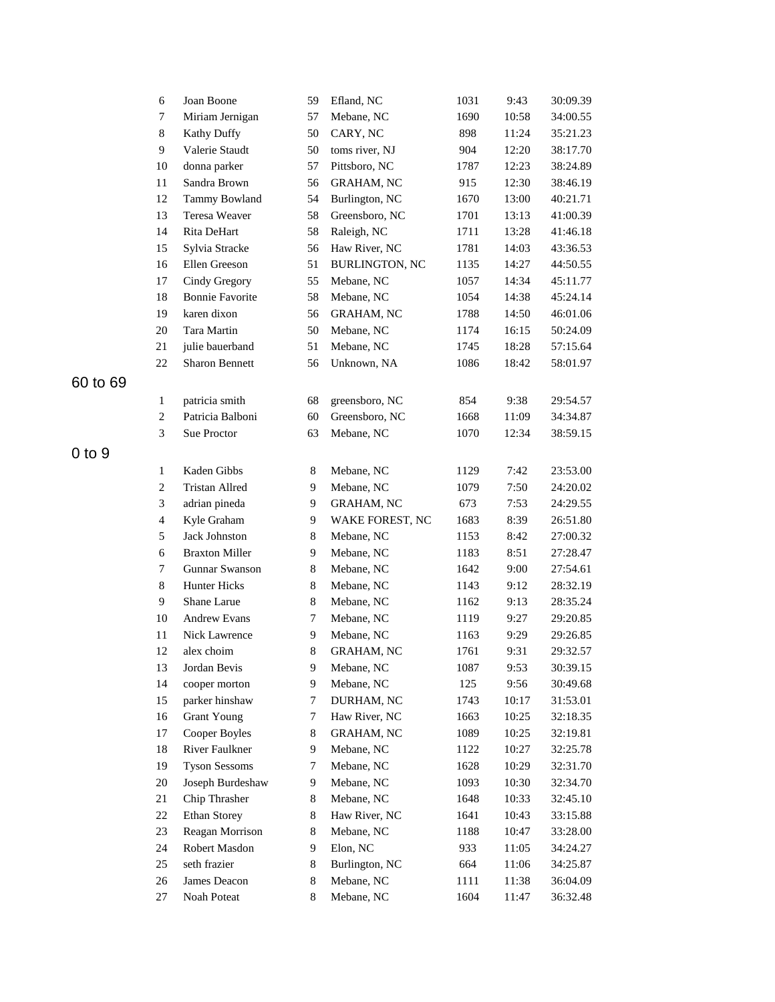|            | 6                       | Joan Boone             | 59             | Efland, NC            | 1031 | 9:43  | 30:09.39 |
|------------|-------------------------|------------------------|----------------|-----------------------|------|-------|----------|
|            | 7                       | Miriam Jernigan        | 57             | Mebane, NC            | 1690 | 10:58 | 34:00.55 |
|            | $8\,$                   | <b>Kathy Duffy</b>     | 50             | CARY, NC              | 898  | 11:24 | 35:21.23 |
|            | 9                       | Valerie Staudt         | 50             | toms river, NJ        | 904  | 12:20 | 38:17.70 |
|            | 10                      | donna parker           | 57             | Pittsboro, NC         | 1787 | 12:23 | 38:24.89 |
|            | 11                      | Sandra Brown           | 56             | <b>GRAHAM, NC</b>     | 915  | 12:30 | 38:46.19 |
|            | 12                      | Tammy Bowland          | 54             | Burlington, NC        | 1670 | 13:00 | 40:21.71 |
|            | 13                      | Teresa Weaver          | 58             | Greensboro, NC        | 1701 | 13:13 | 41:00.39 |
|            | 14                      | Rita DeHart            | 58             | Raleigh, NC           | 1711 | 13:28 | 41:46.18 |
|            | 15                      | Sylvia Stracke         | 56             | Haw River, NC         | 1781 | 14:03 | 43:36.53 |
|            | 16                      | Ellen Greeson          | 51             | <b>BURLINGTON, NC</b> | 1135 | 14:27 | 44:50.55 |
|            | 17                      | Cindy Gregory          | 55             | Mebane, NC            | 1057 | 14:34 | 45:11.77 |
|            | 18                      | <b>Bonnie Favorite</b> | 58             | Mebane, NC            | 1054 | 14:38 | 45:24.14 |
|            | 19                      | karen dixon            | 56             | <b>GRAHAM, NC</b>     | 1788 | 14:50 | 46:01.06 |
|            | 20                      | Tara Martin            | 50             | Mebane, NC            | 1174 | 16:15 | 50:24.09 |
|            | 21                      | julie bauerband        | 51             | Mebane, NC            | 1745 | 18:28 | 57:15.64 |
|            | 22                      | <b>Sharon Bennett</b>  | 56             | Unknown, NA           | 1086 | 18:42 | 58:01.97 |
| 60 to 69   |                         |                        |                |                       |      |       |          |
|            | 1                       | patricia smith         | 68             | greensboro, NC        | 854  | 9:38  | 29:54.57 |
|            | $\overline{c}$          | Patricia Balboni       | 60             | Greensboro, NC        | 1668 | 11:09 | 34:34.87 |
|            | 3                       | Sue Proctor            | 63             | Mebane, NC            | 1070 | 12:34 | 38:59.15 |
| $0$ to $9$ |                         |                        |                |                       |      |       |          |
|            | $\mathbf{1}$            | Kaden Gibbs            | 8              | Mebane, NC            | 1129 | 7:42  | 23:53.00 |
|            | $\overline{c}$          | <b>Tristan Allred</b>  | 9              | Mebane, NC            | 1079 | 7:50  | 24:20.02 |
|            | 3                       | adrian pineda          | 9              | <b>GRAHAM, NC</b>     | 673  | 7:53  | 24:29.55 |
|            | $\overline{\mathbf{4}}$ | Kyle Graham            | 9              | WAKE FOREST, NC       | 1683 | 8:39  | 26:51.80 |
|            | 5                       | Jack Johnston          | 8              | Mebane, NC            | 1153 | 8:42  | 27:00.32 |
|            | 6                       | <b>Braxton Miller</b>  | 9              | Mebane, NC            | 1183 | 8:51  | 27:28.47 |
|            | 7                       | Gunnar Swanson         | 8              | Mebane, NC            | 1642 | 9:00  | 27:54.61 |
|            | $\,8\,$                 | Hunter Hicks           | $\,8\,$        | Mebane, NC            | 1143 | 9:12  | 28:32.19 |
|            | 9                       | Shane Larue            | 8              | Mebane, NC            | 1162 | 9:13  | 28:35.24 |
|            | $10\,$                  | Andrew Evans           | 7              | Mebane, NC            | 1119 | 9:27  | 29:20.85 |
|            | 11                      | <b>Nick Lawrence</b>   | 9              | Mebane, NC            | 1163 | 9:29  | 29:26.85 |
|            | 12                      | alex choim             | $\,8$          | <b>GRAHAM, NC</b>     | 1761 | 9:31  | 29:32.57 |
|            | 13                      | Jordan Bevis           | $\overline{9}$ | Mebane, NC            | 1087 | 9:53  | 30:39.15 |
|            | 14                      | cooper morton          | 9              | Mebane, NC            | 125  | 9:56  | 30:49.68 |
|            | 15                      | parker hinshaw         | 7              | DURHAM, NC            | 1743 | 10:17 | 31:53.01 |
|            | 16                      | <b>Grant Young</b>     | 7              | Haw River, NC         | 1663 | 10:25 | 32:18.35 |
|            | 17                      | Cooper Boyles          | 8              | <b>GRAHAM, NC</b>     | 1089 | 10:25 | 32:19.81 |
|            | 18                      | River Faulkner         | 9              | Mebane, NC            | 1122 | 10:27 | 32:25.78 |
|            | 19                      | <b>Tyson Sessoms</b>   | 7              | Mebane, NC            | 1628 | 10:29 | 32:31.70 |
|            | $20\,$                  | Joseph Burdeshaw       | 9              | Mebane, NC            | 1093 | 10:30 | 32:34.70 |
|            | 21                      | Chip Thrasher          | 8              | Mebane, NC            | 1648 | 10:33 | 32:45.10 |
|            | 22                      | Ethan Storey           | 8              | Haw River, NC         | 1641 | 10:43 | 33:15.88 |
|            | 23                      | Reagan Morrison        | 8              | Mebane, NC            | 1188 | 10:47 | 33:28.00 |
|            | 24                      | Robert Masdon          | 9              | Elon, NC              | 933  | 11:05 | 34:24.27 |
|            | 25                      | seth frazier           | 8              | Burlington, NC        | 664  | 11:06 | 34:25.87 |
|            | 26                      | James Deacon           | 8              | Mebane, NC            | 1111 | 11:38 | 36:04.09 |
|            | 27                      | Noah Poteat            | $\,8\,$        | Mebane, NC            | 1604 | 11:47 | 36:32.48 |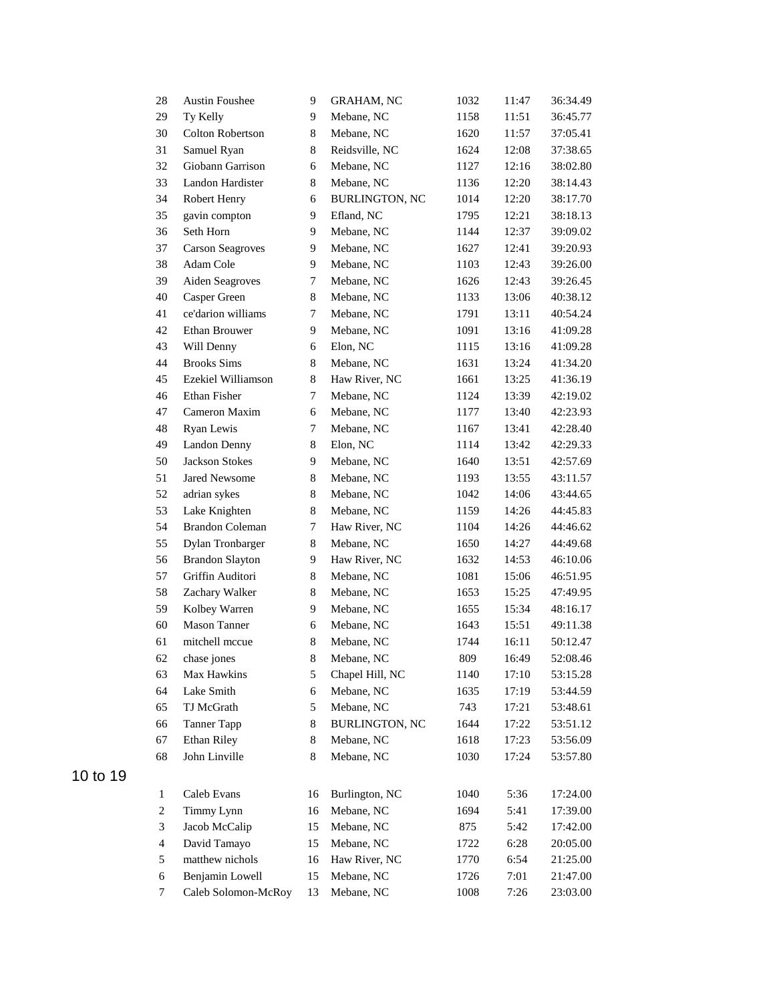| 28             | <b>Austin Foushee</b>   | 9           | <b>GRAHAM, NC</b>     | 1032 | 11:47 | 36:34.49 |
|----------------|-------------------------|-------------|-----------------------|------|-------|----------|
| 29             | Ty Kelly                | 9           | Mebane, NC            | 1158 | 11:51 | 36:45.77 |
| 30             | Colton Robertson        | 8           | Mebane, NC            | 1620 | 11:57 | 37:05.41 |
| 31             | Samuel Ryan             | 8           | Reidsville, NC        | 1624 | 12:08 | 37:38.65 |
| 32             | Giobann Garrison        | 6           | Mebane, NC            | 1127 | 12:16 | 38:02.80 |
| 33             | Landon Hardister        | 8           | Mebane, NC            | 1136 | 12:20 | 38:14.43 |
| 34             | Robert Henry            | 6           | <b>BURLINGTON, NC</b> | 1014 | 12:20 | 38:17.70 |
| 35             | gavin compton           | 9           | Efland, NC            | 1795 | 12:21 | 38:18.13 |
| 36             | Seth Horn               | 9           | Mebane, NC            | 1144 | 12:37 | 39:09.02 |
| 37             | <b>Carson Seagroves</b> | 9           | Mebane, NC            | 1627 | 12:41 | 39:20.93 |
| 38             | Adam Cole               | 9           | Mebane, NC            | 1103 | 12:43 | 39:26.00 |
| 39             | Aiden Seagroves         | 7           | Mebane, NC            | 1626 | 12:43 | 39:26.45 |
| 40             | Casper Green            | $8\,$       | Mebane, NC            | 1133 | 13:06 | 40:38.12 |
| 41             | ce'darion williams      | 7           | Mebane, NC            | 1791 | 13:11 | 40:54.24 |
| 42             | Ethan Brouwer           | 9           | Mebane, NC            | 1091 | 13:16 | 41:09.28 |
| 43             | Will Denny              | 6           | Elon, NC              | 1115 | 13:16 | 41:09.28 |
| 44             | <b>Brooks Sims</b>      | 8           | Mebane, NC            | 1631 | 13:24 | 41:34.20 |
| 45             | Ezekiel Williamson      | 8           | Haw River, NC         | 1661 | 13:25 | 41:36.19 |
| 46             | Ethan Fisher            | 7           | Mebane, NC            | 1124 | 13:39 | 42:19.02 |
| 47             | Cameron Maxim           | 6           | Mebane, NC            | 1177 | 13:40 | 42:23.93 |
| 48             | Ryan Lewis              | 7           | Mebane, NC            | 1167 | 13:41 | 42:28.40 |
| 49             | Landon Denny            | 8           | Elon, NC              | 1114 | 13:42 | 42:29.33 |
| 50             | <b>Jackson Stokes</b>   | 9           | Mebane, NC            | 1640 | 13:51 | 42:57.69 |
| 51             | Jared Newsome           | 8           | Mebane, NC            | 1193 | 13:55 | 43:11.57 |
| 52             | adrian sykes            | $\,8\,$     | Mebane, NC            | 1042 | 14:06 | 43:44.65 |
| 53             | Lake Knighten           | $\,8\,$     | Mebane, NC            | 1159 | 14:26 | 44:45.83 |
| 54             | <b>Brandon Coleman</b>  | 7           | Haw River, NC         | 1104 | 14:26 | 44:46.62 |
| 55             | Dylan Tronbarger        | 8           | Mebane, NC            | 1650 | 14:27 | 44:49.68 |
| 56             | <b>Brandon Slayton</b>  | 9           | Haw River, NC         | 1632 | 14:53 | 46:10.06 |
| 57             | Griffin Auditori        | 8           | Mebane, NC            | 1081 | 15:06 | 46:51.95 |
| 58             | Zachary Walker          | 8           | Mebane, NC            | 1653 | 15:25 | 47:49.95 |
| 59             | Kolbey Warren           | 9           | Mebane, NC            | 1655 | 15:34 | 48:16.17 |
| 60             | Mason Tanner            | 6           | Mebane, NC            | 1643 | 15:51 | 49:11.38 |
| 61             | mitchell mccue          | $\,$ 8 $\,$ | Mebane, NC            | 1744 | 16:11 | 50:12.47 |
| 62             | chase jones             | 8           | Mebane, NC            | 809  | 16:49 | 52:08.46 |
| 63             | Max Hawkins             | 5           | Chapel Hill, NC       | 1140 | 17:10 | 53:15.28 |
| 64             | Lake Smith              | 6           | Mebane, NC            | 1635 | 17:19 | 53:44.59 |
| 65             | TJ McGrath              | 5           | Mebane, NC            | 743  | 17:21 | 53:48.61 |
| 66             | Tanner Tapp             | 8           | BURLINGTON, NC        | 1644 | 17:22 | 53:51.12 |
| 67             | Ethan Riley             | 8           | Mebane, NC            | 1618 | 17:23 | 53:56.09 |
| 68             | John Linville           | 8           | Mebane, NC            | 1030 | 17:24 | 53:57.80 |
|                |                         |             |                       |      |       |          |
| $\mathbf{1}$   | Caleb Evans             | 16          | Burlington, NC        | 1040 | 5:36  | 17:24.00 |
| $\overline{c}$ | Timmy Lynn              | 16          | Mebane, NC            | 1694 | 5:41  | 17:39.00 |
| 3              | Jacob McCalip           | 15          | Mebane, NC            | 875  | 5:42  | 17:42.00 |
| $\overline{4}$ | David Tamayo            | 15          | Mebane, NC            | 1722 | 6:28  | 20:05.00 |
| 5              | matthew nichols         | 16          | Haw River, NC         | 1770 | 6:54  | 21:25.00 |
| $\sqrt{6}$     | Benjamin Lowell         | 15          | Mebane, NC            | 1726 | 7:01  | 21:47.00 |
| $\tau$         | Caleb Solomon-McRoy     | 13          | Mebane, NC            | 1008 | 7:26  | 23:03.00 |
|                |                         |             |                       |      |       |          |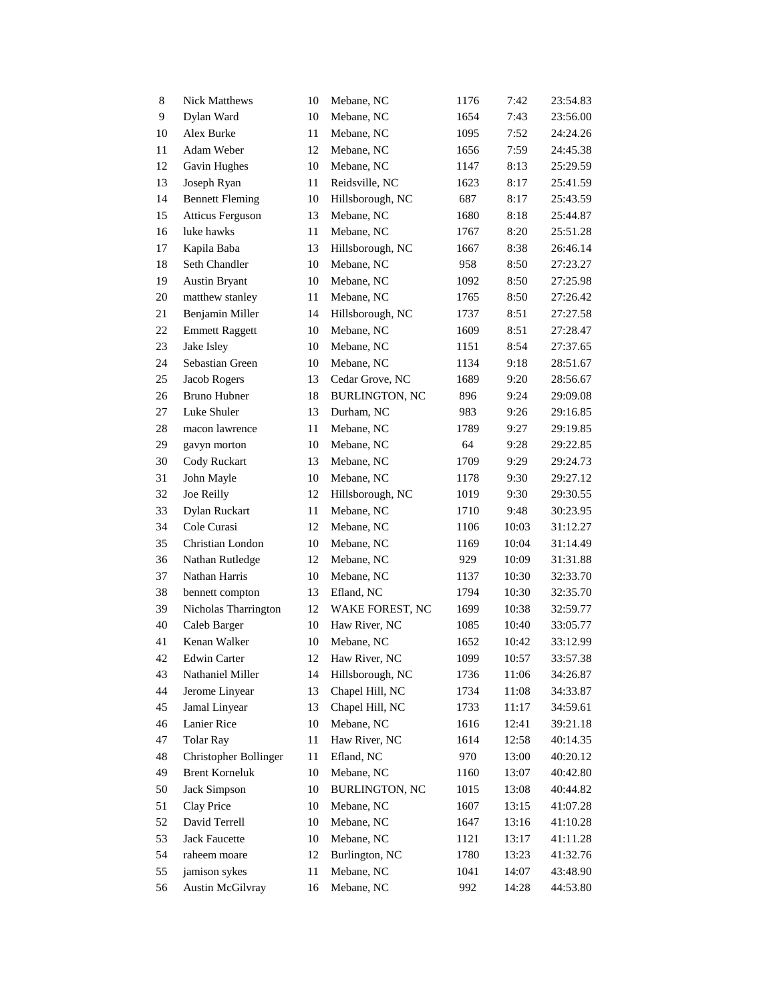| 8  | <b>Nick Matthews</b>    | 10 | Mebane, NC            | 1176 | 7:42  | 23:54.83 |
|----|-------------------------|----|-----------------------|------|-------|----------|
| 9  | Dylan Ward              | 10 | Mebane, NC            | 1654 | 7:43  | 23:56.00 |
| 10 | Alex Burke              | 11 | Mebane, NC            | 1095 | 7:52  | 24:24.26 |
| 11 | Adam Weber              | 12 | Mebane, NC            | 1656 | 7:59  | 24:45.38 |
| 12 | Gavin Hughes            | 10 | Mebane, NC            | 1147 | 8:13  | 25:29.59 |
| 13 | Joseph Ryan             | 11 | Reidsville, NC        | 1623 | 8:17  | 25:41.59 |
| 14 | <b>Bennett Fleming</b>  | 10 | Hillsborough, NC      | 687  | 8:17  | 25:43.59 |
| 15 | <b>Atticus Ferguson</b> | 13 | Mebane, NC            | 1680 | 8:18  | 25:44.87 |
| 16 | luke hawks              | 11 | Mebane, NC            | 1767 | 8:20  | 25:51.28 |
| 17 | Kapila Baba             | 13 | Hillsborough, NC      | 1667 | 8:38  | 26:46.14 |
| 18 | Seth Chandler           | 10 | Mebane, NC            | 958  | 8:50  | 27:23.27 |
| 19 | <b>Austin Bryant</b>    | 10 | Mebane, NC            | 1092 | 8:50  | 27:25.98 |
| 20 | matthew stanley         | 11 | Mebane, NC            | 1765 | 8:50  | 27:26.42 |
| 21 | Benjamin Miller         | 14 | Hillsborough, NC      | 1737 | 8:51  | 27:27.58 |
| 22 | <b>Emmett Raggett</b>   | 10 | Mebane, NC            | 1609 | 8:51  | 27:28.47 |
| 23 | Jake Isley              | 10 | Mebane, NC            | 1151 | 8:54  | 27:37.65 |
| 24 | Sebastian Green         | 10 | Mebane, NC            | 1134 | 9:18  | 28:51.67 |
| 25 | Jacob Rogers            | 13 | Cedar Grove, NC       | 1689 | 9:20  | 28:56.67 |
| 26 | Bruno Hubner            | 18 | <b>BURLINGTON, NC</b> | 896  | 9:24  | 29:09.08 |
| 27 | Luke Shuler             | 13 | Durham, NC            | 983  | 9:26  | 29:16.85 |
| 28 | macon lawrence          | 11 | Mebane, NC            | 1789 | 9:27  | 29:19.85 |
| 29 | gavyn morton            | 10 | Mebane, NC            | 64   | 9:28  | 29:22.85 |
| 30 | Cody Ruckart            | 13 | Mebane, NC            | 1709 | 9:29  | 29:24.73 |
| 31 | John Mayle              | 10 | Mebane, NC            | 1178 | 9:30  | 29:27.12 |
| 32 | Joe Reilly              | 12 | Hillsborough, NC      | 1019 | 9:30  | 29:30.55 |
| 33 | Dylan Ruckart           | 11 | Mebane, NC            | 1710 | 9:48  | 30:23.95 |
| 34 | Cole Curasi             | 12 | Mebane, NC            | 1106 | 10:03 | 31:12.27 |
| 35 | Christian London        | 10 | Mebane, NC            | 1169 | 10:04 | 31:14.49 |
| 36 | Nathan Rutledge         | 12 | Mebane, NC            | 929  | 10:09 | 31:31.88 |
| 37 | Nathan Harris           | 10 | Mebane, NC            | 1137 | 10:30 | 32:33.70 |
| 38 | bennett compton         | 13 | Efland, NC            | 1794 | 10:30 | 32:35.70 |
| 39 | Nicholas Tharrington    | 12 | WAKE FOREST, NC       | 1699 | 10:38 | 32:59.77 |
| 40 | Caleb Barger            | 10 | Haw River, NC         | 1085 | 10:40 | 33:05.77 |
| 41 | Kenan Walker            | 10 | Mebane, NC            | 1652 | 10:42 | 33:12.99 |
| 42 | Edwin Carter            | 12 | Haw River, NC         | 1099 | 10:57 | 33:57.38 |
| 43 | Nathaniel Miller        | 14 | Hillsborough, NC      | 1736 | 11:06 | 34:26.87 |
| 44 | Jerome Linyear          | 13 | Chapel Hill, NC       | 1734 | 11:08 | 34:33.87 |
| 45 | Jamal Linyear           | 13 | Chapel Hill, NC       | 1733 | 11:17 | 34:59.61 |
| 46 | Lanier Rice             | 10 | Mebane, NC            | 1616 | 12:41 | 39:21.18 |
| 47 | <b>Tolar Ray</b>        | 11 | Haw River, NC         | 1614 | 12:58 | 40:14.35 |
| 48 | Christopher Bollinger   | 11 | Efland, NC            | 970  | 13:00 | 40:20.12 |
| 49 | <b>Brent Korneluk</b>   | 10 | Mebane, NC            | 1160 | 13:07 | 40:42.80 |
| 50 | Jack Simpson            | 10 | <b>BURLINGTON, NC</b> | 1015 | 13:08 | 40:44.82 |
| 51 | Clay Price              | 10 | Mebane, NC            | 1607 | 13:15 | 41:07.28 |
| 52 | David Terrell           | 10 | Mebane, NC            | 1647 | 13:16 | 41:10.28 |
| 53 | <b>Jack Faucette</b>    | 10 | Mebane, NC            | 1121 | 13:17 | 41:11.28 |
| 54 | raheem moare            | 12 | Burlington, NC        | 1780 | 13:23 | 41:32.76 |
| 55 | jamison sykes           | 11 | Mebane, NC            | 1041 | 14:07 | 43:48.90 |
| 56 | <b>Austin McGilvray</b> | 16 | Mebane, NC            | 992  | 14:28 | 44:53.80 |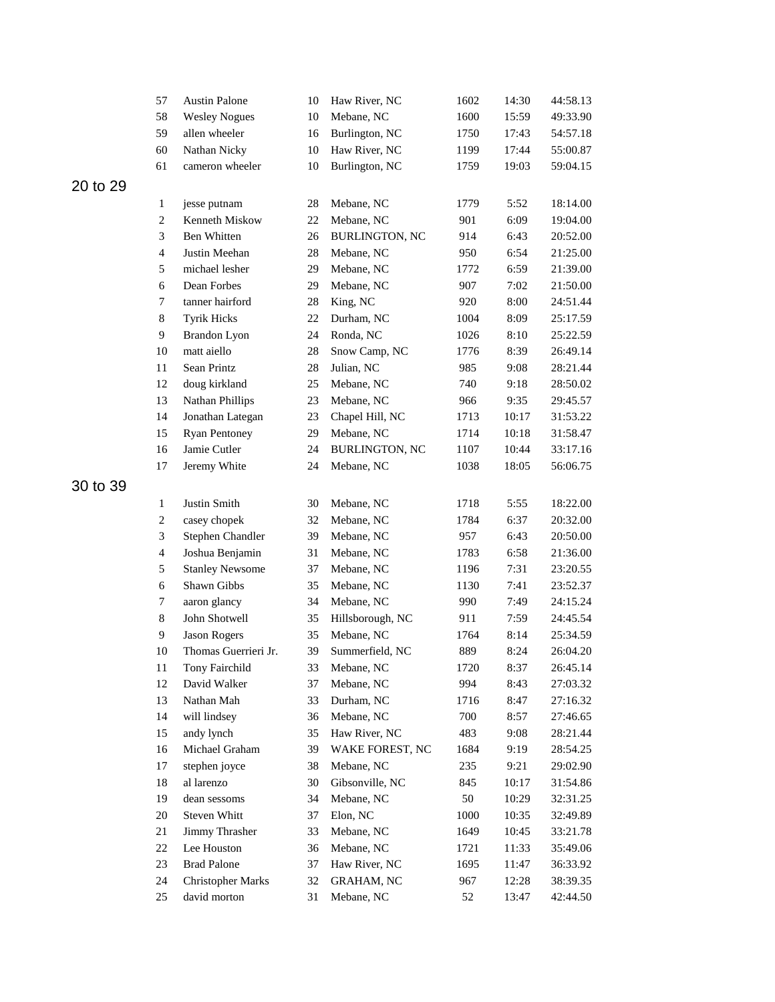|          | 57                       | <b>Austin Palone</b>     | 10 | Haw River, NC         | 1602 | 14:30 | 44:58.13 |
|----------|--------------------------|--------------------------|----|-----------------------|------|-------|----------|
|          | 58                       | <b>Wesley Nogues</b>     | 10 | Mebane, NC            | 1600 | 15:59 | 49:33.90 |
|          | 59                       | allen wheeler            | 16 | Burlington, NC        | 1750 | 17:43 | 54:57.18 |
|          | 60                       | Nathan Nicky             | 10 | Haw River, NC         | 1199 | 17:44 | 55:00.87 |
|          | 61                       | cameron wheeler          | 10 | Burlington, NC        | 1759 | 19:03 | 59:04.15 |
| 20 to 29 |                          |                          |    |                       |      |       |          |
|          | $\mathbf{1}$             | jesse putnam             | 28 | Mebane, NC            | 1779 | 5:52  | 18:14.00 |
|          | $\overline{c}$           | Kenneth Miskow           | 22 | Mebane, NC            | 901  | 6:09  | 19:04.00 |
|          | 3                        | <b>Ben Whitten</b>       | 26 | <b>BURLINGTON, NC</b> | 914  | 6:43  | 20:52.00 |
|          | $\overline{\mathcal{L}}$ | Justin Meehan            | 28 | Mebane, NC            | 950  | 6:54  | 21:25.00 |
|          | 5                        | michael lesher           | 29 | Mebane, NC            | 1772 | 6:59  | 21:39.00 |
|          | 6                        | Dean Forbes              | 29 | Mebane, NC            | 907  | 7:02  | 21:50.00 |
|          | 7                        | tanner hairford          | 28 | King, NC              | 920  | 8:00  | 24:51.44 |
|          | 8                        | <b>Tyrik Hicks</b>       | 22 | Durham, NC            | 1004 | 8:09  | 25:17.59 |
|          | 9                        | <b>Brandon</b> Lyon      | 24 | Ronda, NC             | 1026 | 8:10  | 25:22.59 |
|          | 10                       | matt aiello              | 28 | Snow Camp, NC         | 1776 | 8:39  | 26:49.14 |
|          | 11                       | Sean Printz              | 28 | Julian, NC            | 985  | 9:08  | 28:21.44 |
|          | 12                       | doug kirkland            | 25 | Mebane, NC            | 740  | 9:18  | 28:50.02 |
|          | 13                       | Nathan Phillips          | 23 | Mebane, NC            | 966  | 9:35  | 29:45.57 |
|          | 14                       | Jonathan Lategan         | 23 | Chapel Hill, NC       | 1713 | 10:17 | 31:53.22 |
|          | 15                       | <b>Ryan Pentoney</b>     | 29 | Mebane, NC            | 1714 | 10:18 | 31:58.47 |
|          | 16                       | Jamie Cutler             | 24 | <b>BURLINGTON, NC</b> | 1107 | 10:44 | 33:17.16 |
|          | 17                       | Jeremy White             | 24 | Mebane, NC            | 1038 | 18:05 | 56:06.75 |
| 30 to 39 |                          |                          |    |                       |      |       |          |
|          | $\mathbf{1}$             | Justin Smith             | 30 | Mebane, NC            | 1718 | 5:55  | 18:22.00 |
|          | $\overline{c}$           | casey chopek             | 32 | Mebane, NC            | 1784 | 6:37  | 20:32.00 |
|          | 3                        | Stephen Chandler         | 39 | Mebane, NC            | 957  | 6:43  | 20:50.00 |
|          | $\overline{\mathcal{L}}$ | Joshua Benjamin          | 31 | Mebane, NC            | 1783 | 6:58  | 21:36.00 |
|          | 5                        | <b>Stanley Newsome</b>   | 37 | Mebane, NC            | 1196 | 7:31  | 23:20.55 |
|          | 6                        | Shawn Gibbs              | 35 | Mebane, NC            | 1130 | 7:41  | 23:52.37 |
|          | 7                        | aaron glancy             | 34 | Mebane, NC            | 990  | 7:49  | 24:15.24 |
|          | $8\,$                    | John Shotwell            | 35 | Hillsborough, NC      | 911  | 7:59  | 24:45.54 |
|          | 9                        | <b>Jason Rogers</b>      | 35 | Mebane, NC            | 1764 | 8:14  | 25:34.59 |
|          | 10                       | Thomas Guerrieri Jr.     | 39 | Summerfield, NC       | 889  | 8:24  | 26:04.20 |
|          | 11                       | Tony Fairchild           | 33 | Mebane, NC            | 1720 | 8:37  | 26:45.14 |
|          | 12                       | David Walker             | 37 | Mebane, NC            | 994  | 8:43  | 27:03.32 |
|          | 13                       | Nathan Mah               | 33 | Durham, NC            | 1716 | 8:47  | 27:16.32 |
|          | 14                       | will lindsey             | 36 | Mebane, NC            | 700  | 8:57  | 27:46.65 |
|          | 15                       | andy lynch               | 35 | Haw River, NC         | 483  | 9:08  | 28:21.44 |
|          | 16                       | Michael Graham           | 39 | WAKE FOREST, NC       | 1684 | 9:19  | 28:54.25 |
|          | 17                       | stephen joyce            | 38 | Mebane, NC            | 235  | 9:21  | 29:02.90 |
|          | 18                       | al larenzo               | 30 | Gibsonville, NC       | 845  | 10:17 | 31:54.86 |
|          | 19                       | dean sessoms             | 34 | Mebane, NC            | 50   | 10:29 | 32:31.25 |
|          | 20                       | Steven Whitt             | 37 | Elon, NC              | 1000 | 10:35 | 32:49.89 |
|          | 21                       | Jimmy Thrasher           | 33 | Mebane, NC            | 1649 | 10:45 | 33:21.78 |
|          | 22                       | Lee Houston              | 36 | Mebane, NC            | 1721 | 11:33 | 35:49.06 |
|          | 23                       | <b>Brad Palone</b>       | 37 | Haw River, NC         | 1695 | 11:47 | 36:33.92 |
|          | 24                       | <b>Christopher Marks</b> | 32 | <b>GRAHAM, NC</b>     | 967  | 12:28 | 38:39.35 |
|          | 25                       | david morton             | 31 | Mebane, NC            | 52   | 13:47 | 42:44.50 |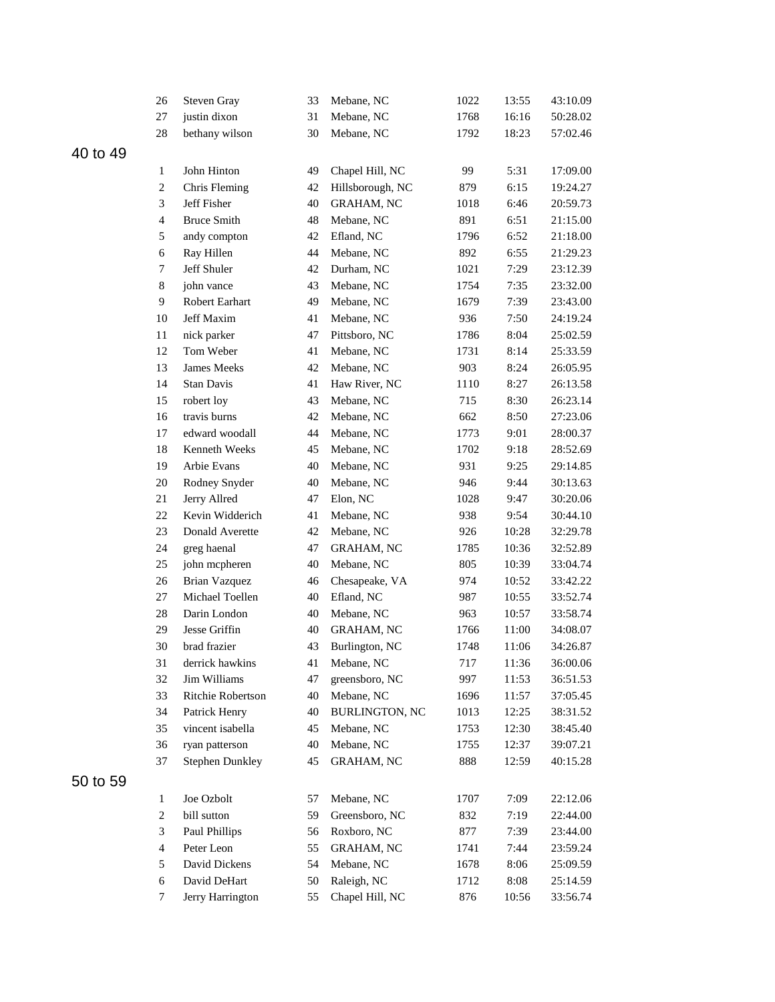|          | 26                       | Steven Gray            | 33 | Mebane, NC            | 1022 | 13:55 | 43:10.09 |
|----------|--------------------------|------------------------|----|-----------------------|------|-------|----------|
|          | 27                       | justin dixon           | 31 | Mebane, NC            | 1768 | 16:16 | 50:28.02 |
|          | 28                       | bethany wilson         | 30 | Mebane, NC            | 1792 | 18:23 | 57:02.46 |
| 40 to 49 |                          |                        |    |                       |      |       |          |
|          | $\mathbf{1}$             | John Hinton            | 49 | Chapel Hill, NC       | 99   | 5:31  | 17:09.00 |
|          | $\sqrt{2}$               | Chris Fleming          | 42 | Hillsborough, NC      | 879  | 6:15  | 19:24.27 |
|          | 3                        | Jeff Fisher            | 40 | <b>GRAHAM, NC</b>     | 1018 | 6:46  | 20:59.73 |
|          | $\overline{4}$           | <b>Bruce Smith</b>     | 48 | Mebane, NC            | 891  | 6:51  | 21:15.00 |
|          | 5                        | andy compton           | 42 | Efland, NC            | 1796 | 6:52  | 21:18.00 |
|          | 6                        | Ray Hillen             | 44 | Mebane, NC            | 892  | 6:55  | 21:29.23 |
|          | 7                        | Jeff Shuler            | 42 | Durham, NC            | 1021 | 7:29  | 23:12.39 |
|          | 8                        | john vance             | 43 | Mebane, NC            | 1754 | 7:35  | 23:32.00 |
|          | 9                        | Robert Earhart         | 49 | Mebane, NC            | 1679 | 7:39  | 23:43.00 |
|          | 10                       | Jeff Maxim             | 41 | Mebane, NC            | 936  | 7:50  | 24:19.24 |
|          | $11\,$                   | nick parker            | 47 | Pittsboro, NC         | 1786 | 8:04  | 25:02.59 |
|          | 12                       | Tom Weber              | 41 | Mebane, NC            | 1731 | 8:14  | 25:33.59 |
|          | 13                       | James Meeks            | 42 | Mebane, NC            | 903  | 8:24  | 26:05.95 |
|          | 14                       | Stan Davis             | 41 | Haw River, NC         | 1110 | 8:27  | 26:13.58 |
|          | 15                       | robert loy             | 43 | Mebane, NC            | 715  | 8:30  | 26:23.14 |
|          | 16                       | travis burns           | 42 | Mebane, NC            | 662  | 8:50  | 27:23.06 |
|          | 17                       | edward woodall         | 44 | Mebane, NC            | 1773 | 9:01  | 28:00.37 |
|          | 18                       | <b>Kenneth Weeks</b>   | 45 | Mebane, NC            | 1702 | 9:18  | 28:52.69 |
|          | 19                       | Arbie Evans            | 40 | Mebane, NC            | 931  | 9:25  | 29:14.85 |
|          | 20                       | Rodney Snyder          | 40 | Mebane, NC            | 946  | 9:44  | 30:13.63 |
|          | 21                       | Jerry Allred           | 47 | Elon, NC              | 1028 | 9:47  | 30:20.06 |
|          | $22\,$                   | Kevin Widderich        | 41 | Mebane, NC            | 938  | 9:54  | 30:44.10 |
|          | 23                       | Donald Averette        | 42 | Mebane, NC            | 926  | 10:28 | 32:29.78 |
|          | 24                       | greg haenal            | 47 | <b>GRAHAM, NC</b>     | 1785 | 10:36 | 32:52.89 |
|          | 25                       | john mcpheren          | 40 | Mebane, NC            | 805  | 10:39 | 33:04.74 |
|          | 26                       | <b>Brian Vazquez</b>   | 46 | Chesapeake, VA        | 974  | 10:52 | 33:42.22 |
|          | 27                       | Michael Toellen        | 40 | Efland, NC            | 987  | 10:55 | 33:52.74 |
|          | 28                       | Darin London           | 40 | Mebane, NC            | 963  | 10:57 | 33:58.74 |
|          | 29                       | Jesse Griffin          | 40 | <b>GRAHAM, NC</b>     | 1766 | 11:00 | 34:08.07 |
|          | $30\,$                   | brad frazier           | 43 | Burlington, NC        | 1748 | 11:06 | 34:26.87 |
|          | 31                       | derrick hawkins        | 41 | Mebane, NC            | 717  | 11:36 | 36:00.06 |
|          | 32                       | Jim Williams           | 47 | greensboro, NC        | 997  | 11:53 | 36:51.53 |
|          | 33                       | Ritchie Robertson      | 40 | Mebane, NC            | 1696 | 11:57 | 37:05.45 |
|          | 34                       | Patrick Henry          | 40 | <b>BURLINGTON, NC</b> | 1013 | 12:25 | 38:31.52 |
|          | 35                       | vincent isabella       | 45 | Mebane, NC            | 1753 | 12:30 | 38:45.40 |
|          | 36                       | ryan patterson         | 40 | Mebane, NC            | 1755 | 12:37 | 39:07.21 |
|          | 37                       | <b>Stephen Dunkley</b> | 45 | GRAHAM, NC            | 888  | 12:59 | 40:15.28 |
| 50 to 59 |                          |                        |    |                       |      |       |          |
|          | 1                        | Joe Ozbolt             | 57 | Mebane, NC            | 1707 | 7:09  | 22:12.06 |
|          | $\boldsymbol{2}$         | bill sutton            | 59 | Greensboro, NC        | 832  | 7:19  | 22:44.00 |
|          | 3                        | Paul Phillips          | 56 | Roxboro, NC           | 877  | 7:39  | 23:44.00 |
|          | $\overline{\mathcal{A}}$ | Peter Leon             | 55 | <b>GRAHAM, NC</b>     | 1741 | 7:44  | 23:59.24 |
|          | 5                        | David Dickens          | 54 | Mebane, NC            | 1678 | 8:06  | 25:09.59 |
|          | 6                        | David DeHart           | 50 | Raleigh, NC           | 1712 | 8:08  | 25:14.59 |
|          | 7                        | Jerry Harrington       | 55 | Chapel Hill, NC       | 876  | 10:56 | 33:56.74 |
|          |                          |                        |    |                       |      |       |          |